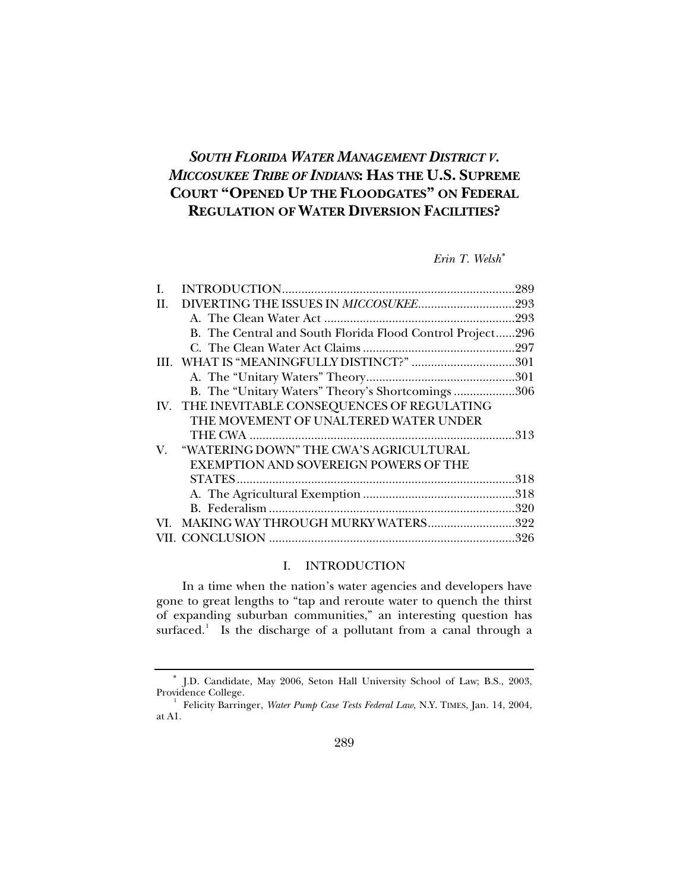# <span id="page-0-1"></span>*SOUTH FLORIDA WATER MANAGEMENT DISTRICT V. MICCOSUKEE TRIBE OF INDIANS***: HAS THE U.S. SUPREME COURT "OPENED UP THE FLOODGATES" ON FEDERAL REGULATION OF WATER DIVERSION FACILITIES?**

*Erin T. Welsh*[∗](#page-0-0)

| I. |                                                           | .289 |
|----|-----------------------------------------------------------|------|
| H. |                                                           |      |
|    |                                                           |      |
|    | B. The Central and South Florida Flood Control Project296 |      |
|    |                                                           |      |
|    | III. WHAT IS "MEANINGFULLY DISTINCT?" 301                 |      |
|    |                                                           |      |
|    | B. The "Unitary Waters" Theory's Shortcomings 306         |      |
|    | IV. THE INEVITABLE CONSEQUENCES OF REGULATING             |      |
|    | THE MOVEMENT OF UNALTERED WATER UNDER                     |      |
|    |                                                           |      |
| V. | "WATERING DOWN" THE CWA'S AGRICULTURAL                    |      |
|    | EXEMPTION AND SOVEREIGN POWERS OF THE                     |      |
|    |                                                           |      |
|    |                                                           |      |
|    |                                                           |      |
|    | VI. MAKING WAY THROUGH MURKY WATERS322                    |      |
|    |                                                           |      |
|    |                                                           |      |

# I. INTRODUCTION

In a time when the nation's water agencies and developers have gone to great lengths to "tap and reroute water to quench the thirst of expanding suburban communities," an interesting question has surfaced.<sup>[1](#page-0-2)</sup> Is the discharge of a pollutant from a canal through a

<span id="page-0-0"></span><sup>∗</sup> J.D. Candidate, May 2006, Seton Hall University School of Law; B.S., 2003, Providence College.

<span id="page-0-2"></span><sup>&</sup>lt;sup>1</sup> Felicity Barringer, *Water Pump Case Tests Federal Law*, N.Y. TIMES, Jan. 14, 2004, at A1.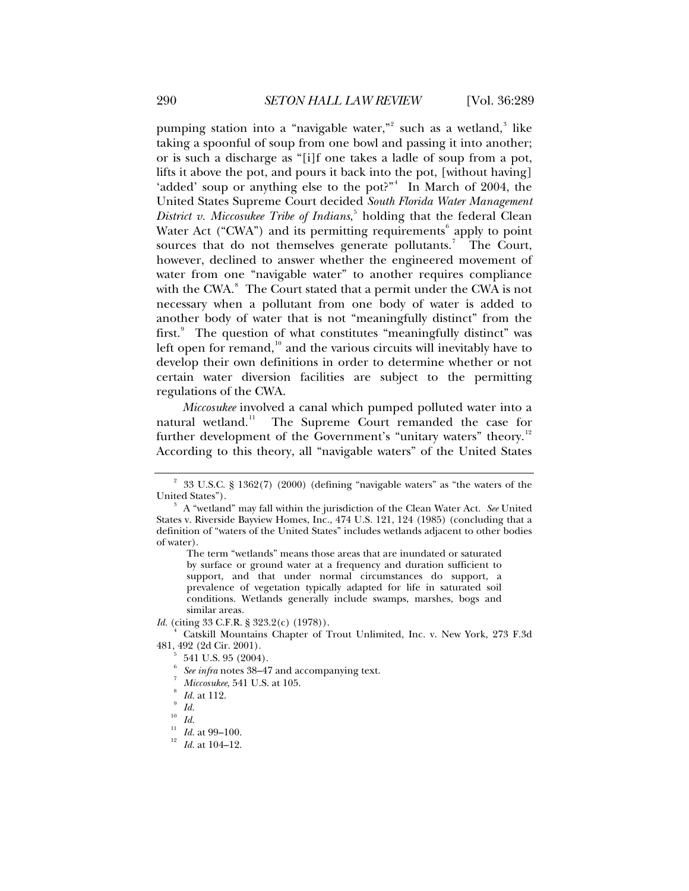pumping station into a "navigable water,"<sup>[2](#page-1-0)</sup> such as a wetland,<sup>[3](#page-1-1)</sup> like taking a spoonful of soup from one bowl and passing it into another; or is such a discharge as "[i]f one takes a ladle of soup from a pot, lifts it above the pot, and pours it back into the pot, [without having] 'added' soup or anything else to the pot?"<sup>[4](#page-1-2)</sup> In March of 2004, the United States Supreme Court decided *South Florida Water Management District v. Miccosukee Tribe of Indians*, [5](#page-1-3) holding that the federal Clean Water Act ("CWA") and its permitting requirements<sup>[6](#page-1-4)</sup> apply to point sources that do not themselves generate pollutants.<sup>[7](#page-1-5)</sup> The Court, however, declined to answer whether the engineered movement of water from one "navigable water" to another requires compliance with the CWA. $^8$  $^8$  The Court stated that a permit under the CWA is not necessary when a pollutant from one body of water is added to another body of water that is not "meaningfully distinct" from the first.<sup>[9](#page-1-7)</sup> The question of what constitutes "meaningfully distinct" was left open for remand, $10^{\circ}$  $10^{\circ}$  and the various circuits will inevitably have to develop their own definitions in order to determine whether or not certain water diversion facilities are subject to the permitting regulations of the CWA.

*Miccosukee* involved a canal which pumped polluted water into a natural wetland.<sup>[11](#page-1-9)</sup> The Supreme Court remanded the case for further development of the Government's "unitary waters" theory.<sup>[12](#page-1-10)</sup> According to this theory, all "navigable waters" of the United States

The term "wetlands" means those areas that are inundated or saturated by surface or ground water at a frequency and duration sufficient to support, and that under normal circumstances do support, a prevalence of vegetation typically adapted for life in saturated soil conditions. Wetlands generally include swamps, marshes, bogs and similar areas.

*Id.* (citing 33 C.F.R. § 323.2(c) (1978)).

<span id="page-1-0"></span><sup>2</sup> 33 U.S.C. § 1362(7) (2000) (defining "navigable waters" as "the waters of the United States").

<span id="page-1-1"></span>A "wetland" may fall within the jurisdiction of the Clean Water Act. *See* United States v. Riverside Bayview Homes, Inc., 474 U.S. 121, 124 (1985) (concluding that a definition of "waters of the United States" includes wetlands adjacent to other bodies of water).

<span id="page-1-6"></span><span id="page-1-5"></span><span id="page-1-4"></span><span id="page-1-3"></span><span id="page-1-2"></span><sup>4</sup> Catskill Mountains Chapter of Trout Unlimited, Inc. v. New York, 273 F.3d 481, 492 (2d Cir. 2001). 5

 <sup>541</sup> U.S. 95 (2004).

<sup>6</sup> See infra notes 38–47 and accompanying text.

*Miccosukee*, 541 U.S. at 105.

*Id.* at 112.

<span id="page-1-8"></span><span id="page-1-7"></span> $\int_{10}^{9}$  *Id.* 

 $\frac{10}{11}$  *Id.* 

<span id="page-1-10"></span><span id="page-1-9"></span><sup>&</sup>lt;sup>11</sup> *Id.* at 99–100.<br><sup>12</sup> *Id.* at 104–12.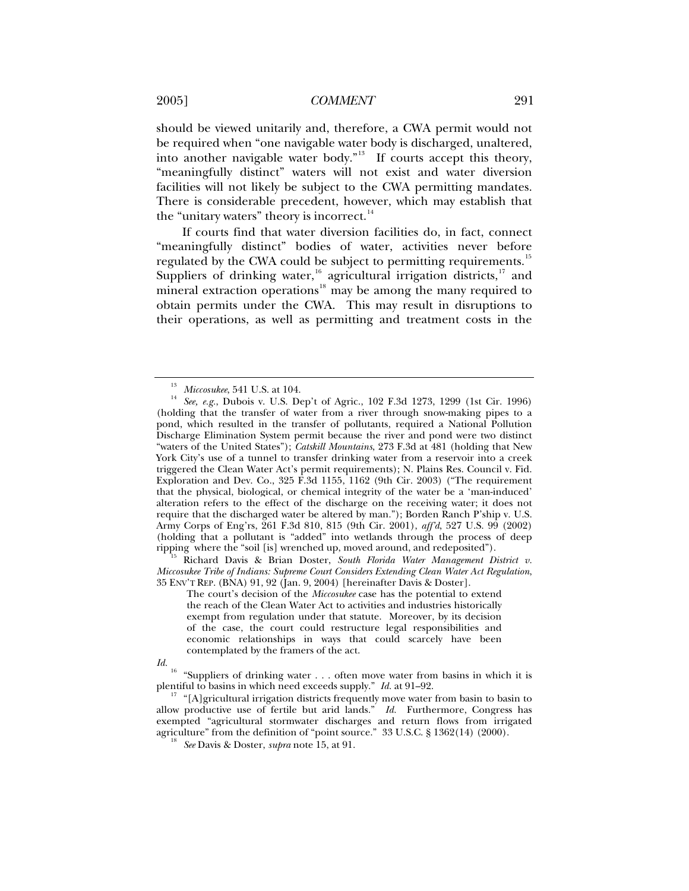should be viewed unitarily and, therefore, a CWA permit would not be required when "one navigable water body is discharged, unaltered, into another navigable water body."<sup>[13](#page-2-0)</sup> If courts accept this theory, "meaningfully distinct" waters will not exist and water diversion facilities will not likely be subject to the CWA permitting mandates. There is considerable precedent, however, which may establish that the "unitary waters" theory is incorrect.<sup>[14](#page-2-1)</sup>

If courts find that water diversion facilities do, in fact, connect "meaningfully distinct" bodies of water, activities never before regulated by the CWA could be subject to permitting requirements.<sup>[15](#page-2-2)</sup> Suppliers of drinking water,  $16$  agricultural irrigation districts,  $17$  and mineral extraction operations<sup>[18](#page-2-5)</sup> may be among the many required to obtain permits under the CWA. This may result in disruptions to their operations, as well as permitting and treatment costs in the

<span id="page-2-2"></span>*Miccosukee Tribe of Indians: Supreme Court Considers Extending Clean Water Act Regulation*, 35 ENV'T REP. (BNA) 91, 92 (Jan. 9, 2004) [hereinafter Davis & Doster].

The court's decision of the *Miccosukee* case has the potential to extend the reach of the Clean Water Act to activities and industries historically exempt from regulation under that statute. Moreover, by its decision of the case, the court could restructure legal responsibilities and economic relationships in ways that could scarcely have been contemplated by the framers of the act.

<span id="page-2-1"></span><span id="page-2-0"></span><sup>&</sup>lt;sup>13</sup> *Miccosukee*, 541 U.S. at 104.<br><sup>14</sup> *See, e.g.*, Dubois v. U.S. Dep't of Agric., 102 F.3d 1273, 1299 (1st Cir. 1996) (holding that the transfer of water from a river through snow-making pipes to a pond, which resulted in the transfer of pollutants, required a National Pollution Discharge Elimination System permit because the river and pond were two distinct "waters of the United States"); *Catskill Mountains*, 273 F.3d at 481 (holding that New York City's use of a tunnel to transfer drinking water from a reservoir into a creek triggered the Clean Water Act's permit requirements); N. Plains Res. Council v. Fid. Exploration and Dev. Co., 325 F.3d 1155, 1162 (9th Cir. 2003) ("The requirement that the physical, biological, or chemical integrity of the water be a 'man-induced' alteration refers to the effect of the discharge on the receiving water; it does not require that the discharged water be altered by man."); Borden Ranch P'ship v. U.S. Army Corps of Eng'rs, 261 F.3d 810, 815 (9th Cir. 2001), *aff'd*, 527 U.S. 99 (2002) (holding that a pollutant is "added" into wetlands through the process of deep ripping where the "soil [is] wrenched up, moved around, and redeposited"). 15 Richard Davis & Brian Doster, *South Florida Water Management District v.* 

<span id="page-2-3"></span>*Id.* <sup>16</sup> "Suppliers of drinking water . . . often move water from basins in which it is **30.** The state of a weage supply  $H$ , at 91-92.

<span id="page-2-5"></span><span id="page-2-4"></span><sup>&</sup>lt;sup>17</sup> "[A]gricultural irrigation districts frequently move water from basin to basin to allow productive use of fertile but arid lands." *Id.* Furthermore, Congress has exempted "agricultural stormwater discharges and return flows from irrigated agriculture" from the definition of "point source." 33 U.S.C. § 1362(14) (2000). 18 *See* Davis & Doster, *supra* note 15, at 91.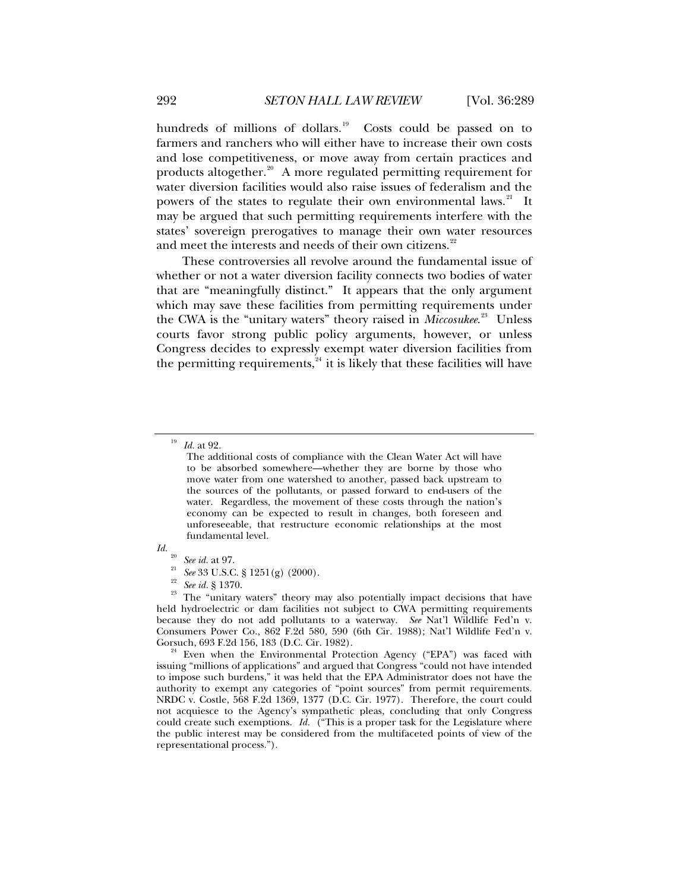hundreds of millions of dollars.<sup>[19](#page-3-0)</sup> Costs could be passed on to farmers and ranchers who will either have to increase their own costs and lose competitiveness, or move away from certain practices and products altogether.<sup>[20](#page-3-1)</sup> A more regulated permitting requirement for water diversion facilities would also raise issues of federalism and the powers of the states to regulate their own environmental laws.<sup>[21](#page-3-2)</sup> It may be argued that such permitting requirements interfere with the states' sovereign prerogatives to manage their own water resources and meet the interests and needs of their own citizens.<sup>[22](#page-3-3)</sup>

These controversies all revolve around the fundamental issue of whether or not a water diversion facility connects two bodies of water that are "meaningfully distinct." It appears that the only argument which may save these facilities from permitting requirements under the CWA is the "unitary waters" theory raised in *Miccosukee*. [23](#page-3-4) Unless courts favor strong public policy arguments, however, or unless Congress decides to expressly exempt water diversion facilities from the permitting requirements, $^{24}$  $^{24}$  $^{24}$  it is likely that these facilities will have

<span id="page-3-4"></span><span id="page-3-3"></span><span id="page-3-2"></span><span id="page-3-1"></span>*Id.* <sup>20</sup> See id. at 97.<br><sup>21</sup> See 33 U.S.C. § 1251(g) (2000). <sup>22</sup> See id. § 1370.<br><sup>23</sup> The "unitary waters" theory may also potentially impact decisions that have held hydroelectric or dam facilities not subject to CWA permitting requirements because they do not add pollutants to a waterway. *See* Nat'l Wildlife Fed'n v. Consumers Power Co., 862 F.2d 580, 590 (6th Cir. 1988); Nat'l Wildlife Fed'n v. Gorsuch, 693 F.2d 156, 183 (D.C. Cir. 1982).

<span id="page-3-5"></span> $^4$  Even when the Environmental Protection Agency ("EPA") was faced with issuing "millions of applications" and argued that Congress "could not have intended to impose such burdens," it was held that the EPA Administrator does not have the authority to exempt any categories of "point sources" from permit requirements. NRDC v. Costle, 568 F.2d 1369, 1377 (D.C. Cir. 1977). Therefore, the court could not acquiesce to the Agency's sympathetic pleas, concluding that only Congress could create such exemptions. *Id.* <sup>("</sup>This is a proper task for the Legislature where the public interest may be considered from the multifaceted points of view of the representational process.").

<span id="page-3-0"></span><sup>19</sup> *Id.* at 92.

The additional costs of compliance with the Clean Water Act will have to be absorbed somewhere—whether they are borne by those who move water from one watershed to another, passed back upstream to the sources of the pollutants, or passed forward to end-users of the water. Regardless, the movement of these costs through the nation's economy can be expected to result in changes, both foreseen and unforeseeable, that restructure economic relationships at the most fundamental level.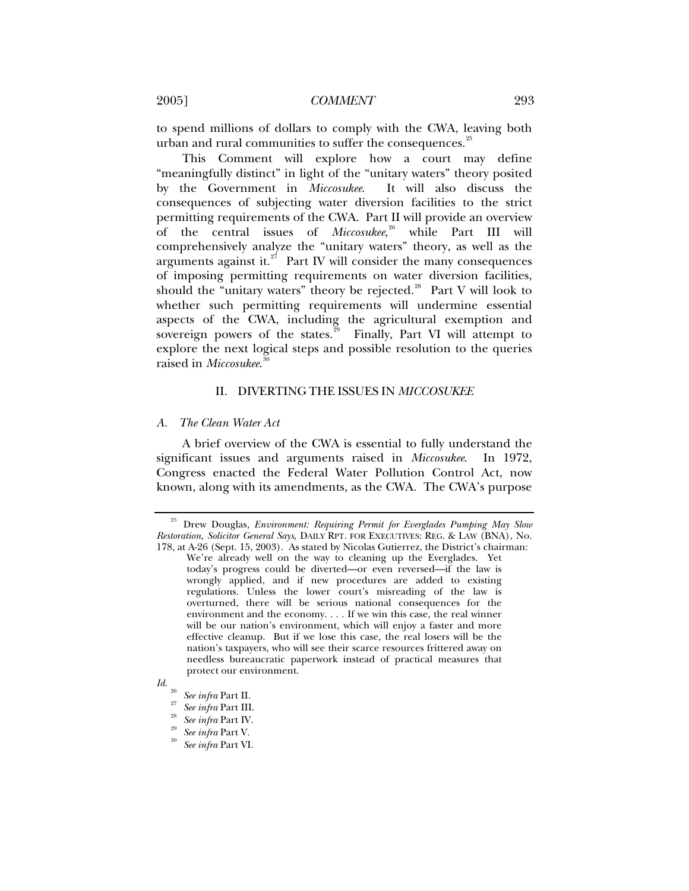<span id="page-4-0"></span>to spend millions of dollars to comply with the CWA, leaving both urban and rural communities to suffer the consequences.<sup>[25](#page-4-1)</sup>

This Comment will explore how a court may define "meaningfully distinct" in light of the "unitary waters" theory posited by the Government in *Miccosukee*. It will also discuss the consequences of subjecting water diversion facilities to the strict permitting requirements of the CWA. Part II will provide an overview of the central issues of *Miccosukee*, [26](#page-4-2) while Part III will comprehensively analyze the "unitary waters" theory, as well as the arguments against it. $27$  Part IV will consider the many consequences of imposing permitting requirements on water diversion facilities, should the "unitary waters" theory be rejected.<sup>[28](#page-4-4)</sup> Part V will look to whether such permitting requirements will undermine essential aspects of the CWA, including the agricultural exemption and sovereign powers of the states. $29$  Finally, Part VI will attempt to explore the next logical steps and possible resolution to the queries raised in *Miccosukee*. [30](#page-4-6)

#### II. DIVERTING THE ISSUES IN *MICCOSUKEE*

## *A. The Clean Water Act*

A brief overview of the CWA is essential to fully understand the significant issues and arguments raised in *Miccosukee*. In 1972, Congress enacted the Federal Water Pollution Control Act, now known, along with its amendments, as the CWA. The CWA's purpose

<span id="page-4-1"></span><sup>25</sup> Drew Douglas, *Environment: Requiring Permit for Everglades Pumping May Slow Restoration, Solicitor General Says*, DAILY RPT. FOR EXECUTIVES: REG. & LAW (BNA), No. 178, at A-26 (Sept. 15, 2003). As stated by Nicolas Gutierrez, the District's chairman:

We're already well on the way to cleaning up the Everglades. Yet today's progress could be diverted—or even reversed—if the law is wrongly applied, and if new procedures are added to existing regulations. Unless the lower court's misreading of the law is overturned, there will be serious national consequences for the environment and the economy. . . . If we win this case, the real winner will be our nation's environment, which will enjoy a faster and more effective cleanup. But if we lose this case, the real losers will be the nation's taxpayers, who will see their scarce resources frittered away on needless bureaucratic paperwork instead of practical measures that protect our environment.

<span id="page-4-6"></span><span id="page-4-5"></span><span id="page-4-4"></span><span id="page-4-3"></span><span id="page-4-2"></span>*Id.* <sup>26</sup> *See infra* Part II. 27 *See infra* Part III. 28 *See infra* Part IV. 29 *See infra* Part V. 30 *See infra* Part VI.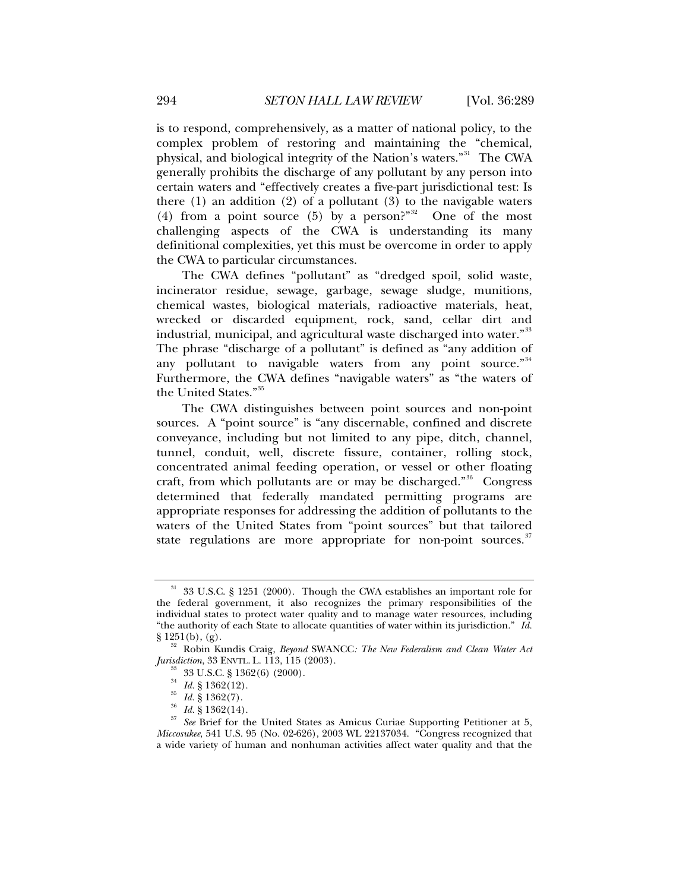is to respond, comprehensively, as a matter of national policy, to the complex problem of restoring and maintaining the "chemical, physical, and biological integrity of the Nation's waters."<sup>[31](#page-5-0)</sup> The CWA generally prohibits the discharge of any pollutant by any person into certain waters and "effectively creates a five-part jurisdictional test: Is there  $(1)$  an addition  $(2)$  of a pollutant  $(3)$  to the navigable waters (4) from a point source (5) by a person?"<sup>[32](#page-5-1)</sup> One of the most challenging aspects of the CWA is understanding its many definitional complexities, yet this must be overcome in order to apply the CWA to particular circumstances.

The CWA defines "pollutant" as "dredged spoil, solid waste, incinerator residue, sewage, garbage, sewage sludge, munitions, chemical wastes, biological materials, radioactive materials, heat, wrecked or discarded equipment, rock, sand, cellar dirt and industrial, municipal, and agricultural waste discharged into water."<sup>[33](#page-5-2)</sup> The phrase "discharge of a pollutant" is defined as "any addition of any pollutant to navigable waters from any point source."<sup>[34](#page-5-3)</sup> Furthermore, the CWA defines "navigable waters" as "the waters of the United States."[35](#page-5-4)

The CWA distinguishes between point sources and non-point sources. A "point source" is "any discernable, confined and discrete conveyance, including but not limited to any pipe, ditch, channel, tunnel, conduit, well, discrete fissure, container, rolling stock, concentrated animal feeding operation, or vessel or other floating craft, from which pollutants are or may be discharged."<sup>[36](#page-5-5)</sup> Congress determined that federally mandated permitting programs are appropriate responses for addressing the addition of pollutants to the waters of the United States from "point sources" but that tailored state regulations are more appropriate for non-point sources.<sup>[37](#page-5-6)</sup>

<span id="page-5-0"></span><sup>31 33</sup> U.S.C. § 1251 (2000). Though the CWA establishes an important role for the federal government, it also recognizes the primary responsibilities of the individual states to protect water quality and to manage water resources, including "the authority of each State to allocate quantities of water within its jurisdiction." *Id.*

<span id="page-5-1"></span><sup>§ 1251(</sup>b), (g). 32 Robin Kundis Craig, *Beyond* SWANCC*: The New Federalism and Clean Water Act Jurisdiction*, 33 ENVTL. L. 113, 115 (2003).<br><sup>33</sup> 33 U.S.C. § 1362(6) (2000).<br><sup>34</sup> Id. § 1362(12).

<span id="page-5-6"></span><span id="page-5-5"></span><span id="page-5-4"></span><span id="page-5-3"></span><span id="page-5-2"></span><sup>&</sup>lt;sup>35</sup> *Id.*  $\frac{8}{3}$  1362(7).<br><sup>36</sup> *Id.* § 1362(14).<br><sup>37</sup> *See* Brief for the United States as Amicus Curiae Supporting Petitioner at 5, *Miccosukee*, 541 U.S. 95 (No. 02-626), 2003 WL 22137034. "Congress recognized that a wide variety of human and nonhuman activities affect water quality and that the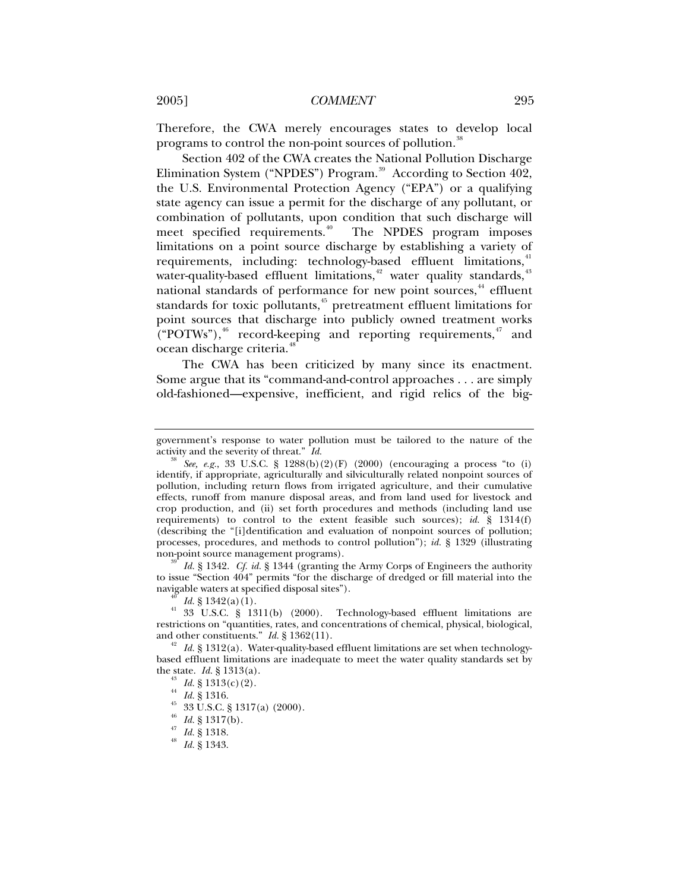Therefore, the CWA merely encourages states to develop local programs to control the non-point sources of pollution.<sup>[38](#page-6-0)</sup>

Section 402 of the CWA creates the National Pollution Discharge Elimination System ("NPDES") Program.<sup>[39](#page-6-1)</sup> According to Section 402, the U.S. Environmental Protection Agency ("EPA") or a qualifying state agency can issue a permit for the discharge of any pollutant, or combination of pollutants, upon condition that such discharge will meet specified requirements.<sup>[40](#page-6-2)</sup> The NPDES program imposes limitations on a point source discharge by establishing a variety of requirements, including: technology-based effluent limitations,<sup>[41](#page-6-3)</sup> water-quality-based effluent limitations,<sup>[42](#page-6-4)</sup> water quality standards,<sup>[43](#page-6-5)</sup> national standards of performance for new point sources,<sup>[44](#page-6-6)</sup> effluent standards for toxic pollutants,<sup>[45](#page-6-7)</sup> pretreatment effluent limitations for point sources that discharge into publicly owned treatment works  $("POTWs")$ ,<sup>[46](#page-6-8)</sup> record-keeping and reporting requirements,<sup>[47](#page-6-9)</sup> and ocean discharge criteria.<sup>[48](#page-6-10)</sup>

The CWA has been criticized by many since its enactment. Some argue that its "command-and-control approaches . . . are simply old-fashioned—expensive, inefficient, and rigid relics of the big-

<span id="page-6-1"></span>to issue "Section 404" permits "for the discharge of dredged or fill material into the

government's response to water pollution must be tailored to the nature of the activity and the severity of threat."  $Id$ .

<span id="page-6-0"></span><sup>&</sup>lt;sup>38</sup> See, e.g., 33 U.S.C. § 1288(b)(2)(F) (2000) (encouraging a process "to (i) identify, if appropriate, agriculturally and silviculturally related nonpoint sources of pollution, including return flows from irrigated agriculture, and their cumulative effects, runoff from manure disposal areas, and from land used for livestock and crop production, and (ii) set forth procedures and methods (including land use requirements) to control to the extent feasible such sources); *id.* § 1314(f) (describing the "[i]dentification and evaluation of nonpoint sources of pollution; processes, procedures, and methods to control pollution"); *id.* § 1329 (illustrating non-point source management programs). 39 *Id.* § 1342. *Cf. id.* § 1344 (granting the Army Corps of Engineers the authority

<span id="page-6-3"></span><span id="page-6-2"></span><sup>&</sup>lt;sup>40</sup> *Id.* § 1342(a)(1).  $\frac{40}{133}$  U.S.C. § 1311(b) (2000). Technology-based effluent limitations are restrictions on "quantities, rates, and concentrations of chemical, physical, biological, and other constituents."  $Id. \S 1362(11)$ .

<span id="page-6-7"></span><span id="page-6-6"></span><span id="page-6-5"></span><span id="page-6-4"></span><sup>&</sup>lt;sup>42</sup> *Id.* § 1312(a). Water-quality-based effluent limitations are set when technologybased effluent limitations are inadequate to meet the water quality standards set by the state. *Id.* § 1313(a).<br><sup>43</sup> *Id.* § 1313(c)(2).<br><sup>44</sup> *Id.* § 1316.<br><sup>45</sup> 33 U.S.C. § 1317(a) (2000).<br><sup>46</sup> *Id.* § 1317(b).<br><sup>47</sup> *Id.* § 1318.<br><sup>48</sup> *Id.* § 1343.

<span id="page-6-10"></span><span id="page-6-9"></span><span id="page-6-8"></span>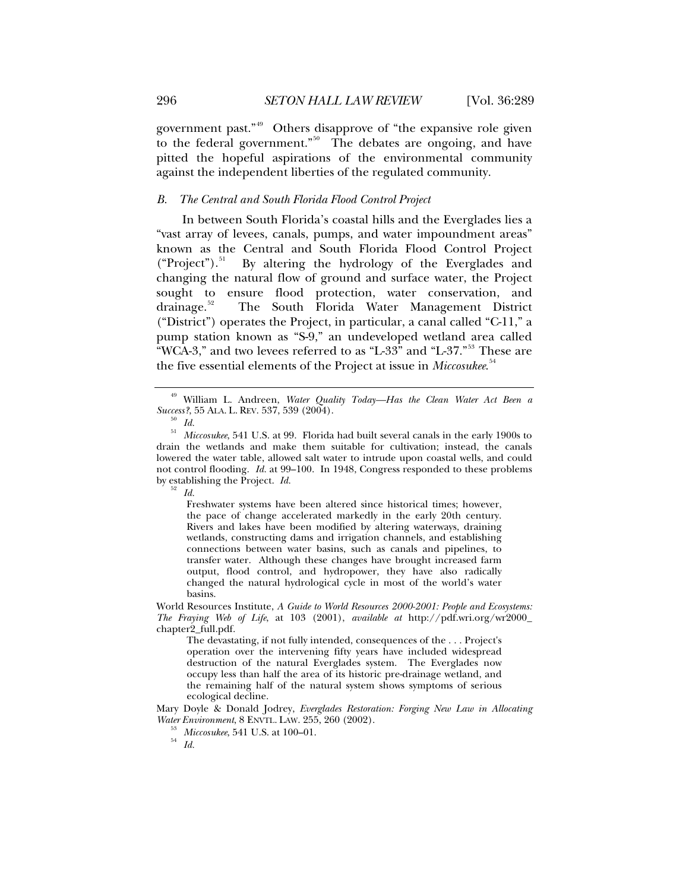<span id="page-7-0"></span>government past."[49](#page-7-1) Others disapprove of "the expansive role given to the federal government."<sup>[50](#page-7-2)</sup> The debates are ongoing, and have pitted the hopeful aspirations of the environmental community against the independent liberties of the regulated community.

## *B. The Central and South Florida Flood Control Project*

In between South Florida's coastal hills and the Everglades lies a "vast array of levees, canals, pumps, and water impoundment areas" known as the Central and South Florida Flood Control Project  $("Project")$ .<sup>[51](#page-7-3)</sup> By altering the hydrology of the Everglades and changing the natural flow of ground and surface water, the Project sought to ensure flood protection, water conservation, and drainage.[52](#page-7-4) The South Florida Water Management District ("District") operates the Project, in particular, a canal called "C-11," a pump station known as "S-9," an undeveloped wetland area called "WCA-3," and two levees referred to as "L-33" and "L-37."<sup>[53](#page-7-5)</sup> These are the five essential elements of the Project at issue in *Miccosukee*. [54](#page-7-6)

Freshwater systems have been altered since historical times; however, the pace of change accelerated markedly in the early 20th century. Rivers and lakes have been modified by altering waterways, draining wetlands, constructing dams and irrigation channels, and establishing connections between water basins, such as canals and pipelines, to transfer water. Although these changes have brought increased farm output, flood control, and hydropower, they have also radically changed the natural hydrological cycle in most of the world's water basins.

World Resources Institute, *A Guide to World Resources 2000-2001: People and Ecosystems: The Fraying Web of Life*, at 103 (2001), *available at* http://pdf.wri.org/wr2000\_ chapter2\_full.pdf.

The devastating, if not fully intended, consequences of the . . . Project's operation over the intervening fifty years have included widespread destruction of the natural Everglades system. The Everglades now occupy less than half the area of its historic pre-drainage wetland, and the remaining half of the natural system shows symptoms of serious ecological decline.

<span id="page-7-6"></span><span id="page-7-5"></span>Mary Doyle & Donald Jodrey, *Everglades Restoration: Forging New Law in Allocating Water Environment*, 8 ENVTL. LAW. 255, 260 (2002). <sup>53</sup> *Miccosukee*, 541 U.S. at 100–01. 54 *Id.*

<span id="page-7-1"></span><sup>49</sup> William L. Andreen, *Water Quality Today—Has the Clean Water Act Been a Success?*, 55 ALA. L. REV. 537, 539 (2004).<br><sup>50</sup> Id.

<span id="page-7-4"></span><span id="page-7-3"></span><span id="page-7-2"></span><sup>&</sup>lt;sup>51</sup> *Miccosukee*, 541 U.S. at 99. Florida had built several canals in the early 1900s to drain the wetlands and make them suitable for cultivation; instead, the canals lowered the water table, allowed salt water to intrude upon coastal wells, and could not control flooding. *Id.* at 99–100. In 1948, Congress responded to these problems by establishing the Project. *Id.* <sup>52</sup> *Id.*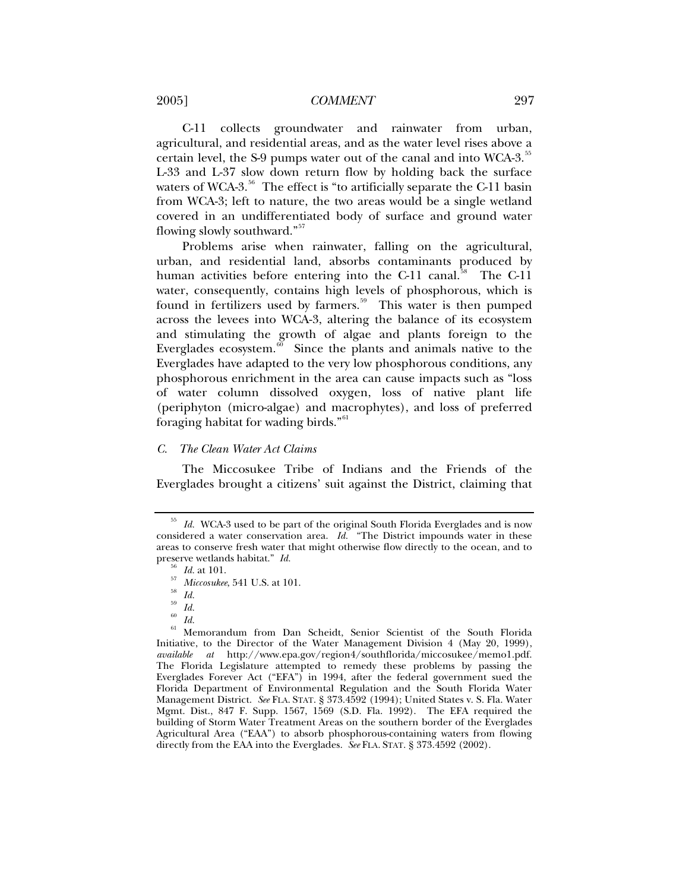<span id="page-8-0"></span>2005] *COMMENT* 297

C-11 collects groundwater and rainwater from urban, agricultural, and residential areas, and as the water level rises above a certain level, the S-9 pumps water out of the canal and into WCA-3.<sup>[55](#page-8-1)</sup> L-33 and L-37 slow down return flow by holding back the surface waters of WCA-3.<sup>[56](#page-8-2)</sup> The effect is "to artificially separate the C-11 basin from WCA-3; left to nature, the two areas would be a single wetland covered in an undifferentiated body of surface and ground water flowing slowly southward."[57](#page-8-3)

Problems arise when rainwater, falling on the agricultural, urban, and residential land, absorbs contaminants produced by human activities before entering into the C-11 canal.<sup>[58](#page-8-4)</sup> The C-11 water, consequently, contains high levels of phosphorous, which is found in fertilizers used by farmers.<sup>[59](#page-8-5)</sup> This water is then pumped across the levees into WCA-3, altering the balance of its ecosystem and stimulating the growth of algae and plants foreign to the Everglades ecosystem. $60$  Since the plants and animals native to the Everglades have adapted to the very low phosphorous conditions, any phosphorous enrichment in the area can cause impacts such as "loss of water column dissolved oxygen, loss of native plant life (periphyton (micro-algae) and macrophytes), and loss of preferred foraging habitat for wading birds."<sup>[61](#page-8-7)</sup>

## *C. The Clean Water Act Claims*

The Miccosukee Tribe of Indians and the Friends of the Everglades brought a citizens' suit against the District, claiming that

<span id="page-8-7"></span><span id="page-8-6"></span><span id="page-8-5"></span><span id="page-8-4"></span><span id="page-8-3"></span>61 Memorandum from Dan Scheidt, Senior Scientist of the South Florida Initiative, to the Director of the Water Management Division 4 (May 20, 1999), *available at* http://www.epa.gov/region4/southflorida/miccosukee/memo1.pdf. The Florida Legislature attempted to remedy these problems by passing the Everglades Forever Act ("EFA") in 1994, after the federal government sued the Florida Department of Environmental Regulation and the South Florida Water Management District. *See* FLA. STAT. § 373.4592 (1994); United States v. S. Fla. Water Mgmt. Dist., 847 F. Supp. 1567, 1569 (S.D. Fla. 1992). The EFA required the building of Storm Water Treatment Areas on the southern border of the Everglades Agricultural Area ("EAA") to absorb phosphorous-containing waters from flowing directly from the EAA into the Everglades. *See* FLA. STAT. § 373.4592 (2002).

<span id="page-8-2"></span><span id="page-8-1"></span><sup>55</sup> *Id.* WCA-3 used to be part of the original South Florida Everglades and is now considered a water conservation area. *Id.* "The District impounds water in these areas to conserve fresh water that might otherwise flow directly to the ocean, and to preserve wetlands habitat."  $Id$ .

preserve wetlands habitat." *Id.* <sup>56</sup> *Id.* at 101. 57 *Miccosukee*, 541 U.S. at 101. 58 *Id.*

 $\frac{59}{60}$  *Id.* 

 $\frac{60}{61}$  *Id.*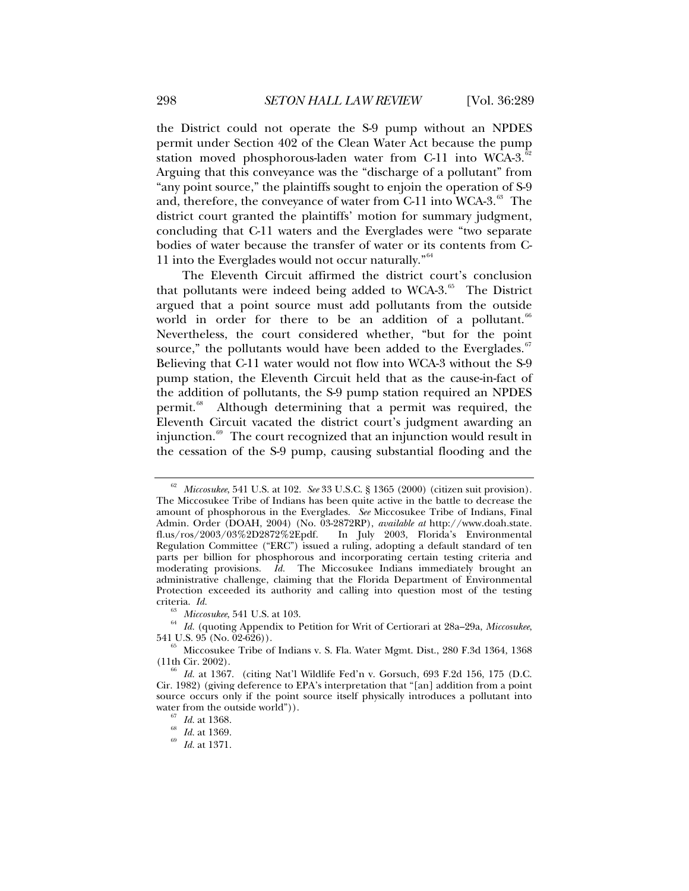the District could not operate the S-9 pump without an NPDES permit under Section 402 of the Clean Water Act because the pump station moved phosphorous-laden water from C-11 into WCA-3. $52$ Arguing that this conveyance was the "discharge of a pollutant" from "any point source," the plaintiffs sought to enjoin the operation of S-9 and, therefore, the conveyance of water from C-11 into WCA-3.<sup>[63](#page-9-1)</sup> The district court granted the plaintiffs' motion for summary judgment, concluding that C-11 waters and the Everglades were "two separate bodies of water because the transfer of water or its contents from C-11 into the Everglades would not occur naturally."[64](#page-9-2)

The Eleventh Circuit affirmed the district court's conclusion that pollutants were indeed being added to WCA-3. $^{65}$  $^{65}$  $^{65}$  The District argued that a point source must add pollutants from the outside world in order for there to be an addition of a pollutant.<sup>[66](#page-9-4)</sup> Nevertheless, the court considered whether, "but for the point source," the pollutants would have been added to the Everglades. $67$ Believing that C-11 water would not flow into WCA-3 without the S-9 pump station, the Eleventh Circuit held that as the cause-in-fact of the addition of pollutants, the S-9 pump station required an NPDES permit.<sup>[68](#page-9-6)</sup> Although determining that a permit was required, the Eleventh Circuit vacated the district court's judgment awarding an injunction. $69$  The court recognized that an injunction would result in the cessation of the S-9 pump, causing substantial flooding and the

<span id="page-9-0"></span><sup>62</sup> *Miccosukee*, 541 U.S. at 102. *See* 33 U.S.C. § 1365 (2000) (citizen suit provision). The Miccosukee Tribe of Indians has been quite active in the battle to decrease the amount of phosphorous in the Everglades. *See* Miccosukee Tribe of Indians, Final Admin. Order (DOAH, 2004) (No. 03-2872RP), *available at* http://www.doah.state. fl.us/ros/2003/03%2D2872%2Epdf. In July 2003, Florida's Environmental Regulation Committee ("ERC") issued a ruling, adopting a default standard of ten parts per billion for phosphorous and incorporating certain testing criteria and moderating provisions. *Id.* The Miccosukee Indians immediately brought an administrative challenge, claiming that the Florida Department of Environmental Protection exceeded its authority and calling into question most of the testing

<span id="page-9-2"></span><span id="page-9-1"></span>criteria. *Id.* <sup>63</sup> *Miccosukee*, 541 U.S. at 103.<br><sup>64</sup> *Id.* (quoting Appendix to Petition for Writ of Certiorari at 28a–29a, *Miccosukee*, 541 U.S. 95 (No. 02-626)).

<span id="page-9-3"></span> $^{65}$  Miccosukee Tribe of Indians v. S. Fla. Water Mgmt. Dist., 280 F.3d 1364, 1368 (11th Cir. 2002).

<span id="page-9-6"></span><span id="page-9-5"></span><span id="page-9-4"></span><sup>&</sup>lt;sup>66</sup> Id. at 1367. (citing Nat'l Wildlife Fed'n v. Gorsuch, 693 F.2d 156, 175 (D.C. Cir. 1982) (giving deference to EPA's interpretation that "[an] addition from a point source occurs only if the point source itself physically introduces a pollutant into water from the outside world")). 67 *Id.* at 1368. 68 *Id.* at 1369. 69 *Id.* at 1371.

<span id="page-9-7"></span>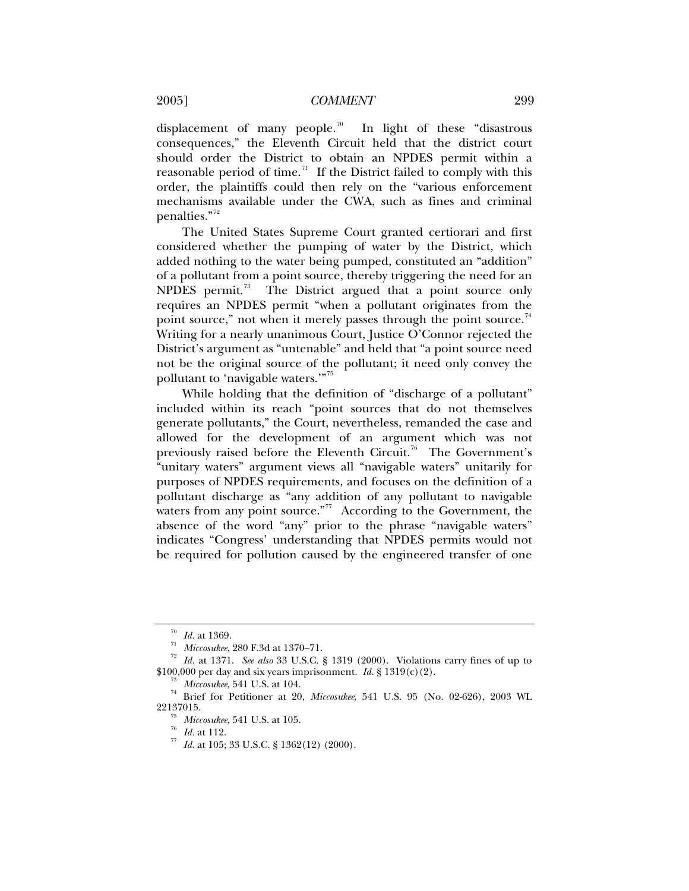displacement of many people.<sup>[70](#page-10-0)</sup> In light of these "disastrous consequences," the Eleventh Circuit held that the district court should order the District to obtain an NPDES permit within a reasonable period of time.<sup>[71](#page-10-1)</sup> If the District failed to comply with this order, the plaintiffs could then rely on the "various enforcement mechanisms available under the CWA, such as fines and criminal penalties."[72](#page-10-2)

The United States Supreme Court granted certiorari and first considered whether the pumping of water by the District, which added nothing to the water being pumped, constituted an "addition" of a pollutant from a point source, thereby triggering the need for an NPDES permit. $73$  The District argued that a point source only requires an NPDES permit "when a pollutant originates from the point source," not when it merely passes through the point source.<sup>[74](#page-10-4)</sup> Writing for a nearly unanimous Court, Justice O'Connor rejected the District's argument as "untenable" and held that "a point source need not be the original source of the pollutant; it need only convey the pollutant to 'navigable waters."<sup>[75](#page-10-5)</sup>

While holding that the definition of "discharge of a pollutant" included within its reach "point sources that do not themselves generate pollutants," the Court, nevertheless, remanded the case and allowed for the development of an argument which was not previously raised before the Eleventh Circuit.<sup>[76](#page-10-6)</sup> The Government's "unitary waters" argument views all "navigable waters" unitarily for purposes of NPDES requirements, and focuses on the definition of a pollutant discharge as "any addition of any pollutant to navigable waters from any point source."<sup>[77](#page-10-7)</sup> According to the Government, the absence of the word "any" prior to the phrase "navigable waters" indicates "Congress' understanding that NPDES permits would not be required for pollution caused by the engineered transfer of one

<span id="page-10-1"></span><span id="page-10-0"></span><sup>&</sup>lt;sup>70</sup> *Id.* at 1369.<br><sup>71</sup> *Miccosukee*, 280 F.3d at 1370–71.<br><sup>72</sup> *Id.* at 1371. *See also* 33 U.S.C. § 1319 (2000). Violations carry fines of up to<br>\$100,000 per day and six years imprisonment. *Id.* § 1319(c)(2).

<span id="page-10-7"></span><span id="page-10-6"></span><span id="page-10-5"></span><span id="page-10-4"></span><span id="page-10-3"></span><span id="page-10-2"></span><sup>&</sup>lt;sup>73</sup> Miccosukee, 541 U.S. at 104.<br><sup>74</sup> Brief for Petitioner at 20, *Miccosukee*, 541 U.S. 95 (No. 02-626), 2003 WL<br>22137015.

<sup>&</sup>lt;sup>75</sup> *Miccosukee*, 541 U.S. at 105.<br><sup>76</sup> *Id.* at 112.<br><sup>77</sup> *Id.* at 105; 33 U.S.C. § 1362(12) (2000).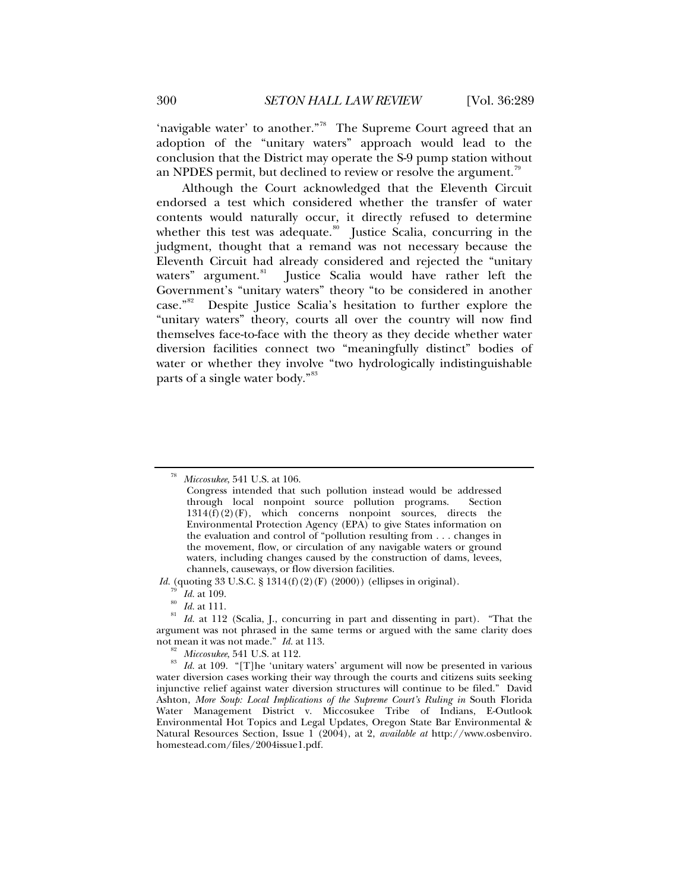'navigable water' to another."<sup>[78](#page-11-0)</sup> The Supreme Court agreed that an adoption of the "unitary waters" approach would lead to the conclusion that the District may operate the S-9 pump station without an NPDES permit, but declined to review or resolve the argument.<sup>[79](#page-11-1)</sup>

Although the Court acknowledged that the Eleventh Circuit endorsed a test which considered whether the transfer of water contents would naturally occur, it directly refused to determine whether this test was adequate. $80$  Justice Scalia, concurring in the judgment, thought that a remand was not necessary because the Eleventh Circuit had already considered and rejected the "unitary waters" argument.<sup>81</sup> Justice Scalia would have rather left the Justice Scalia would have rather left the Government's "unitary waters" theory "to be considered in another case."[82](#page-11-4) Despite Justice Scalia's hesitation to further explore the "unitary waters" theory, courts all over the country will now find themselves face-to-face with the theory as they decide whether water diversion facilities connect two "meaningfully distinct" bodies of water or whether they involve "two hydrologically indistinguishable parts of a single water body."<sup>[83](#page-11-5)</sup>

<span id="page-11-0"></span><sup>78</sup> *Miccosukee*, 541 U.S. at 106.

Congress intended that such pollution instead would be addressed through local nonpoint source pollution programs. Section  $1314(f)(2)(F)$ , which concerns nonpoint sources, directs the Environmental Protection Agency (EPA) to give States information on the evaluation and control of "pollution resulting from . . . changes in the movement, flow, or circulation of any navigable waters or ground waters, including changes caused by the construction of dams, levees, channels, causeways, or flow diversion facilities.

*Id.* (quoting 33 U.S.C. § 1314(f)(2)(F) (2000)) (ellipses in original).

<span id="page-11-3"></span><span id="page-11-2"></span><span id="page-11-1"></span><sup>&</sup>lt;sup>79</sup> Id. at 109.<br><sup>80</sup> Id. at 111.<br><sup>81</sup> Id. at 112 (Scalia, J., concurring in part and dissenting in part). "That the argument was not phrased in the same terms or argued with the same clarity does not mean it was not made."  $Id.$  at 113.

<span id="page-11-5"></span><span id="page-11-4"></span><sup>&</sup>lt;sup>82</sup> *Miccosukee*, 541 U.S. at 112.<br><sup>83</sup> *Id.* at 109. "[T]he 'unitary waters' argument will now be presented in various water diversion cases working their way through the courts and citizens suits seeking injunctive relief against water diversion structures will continue to be filed." David Ashton, More Soup: Local Implications of the Supreme Court's Ruling in South Florida Water Management District v. Miccosukee Tribe of Indians, E-Outlook Environmental Hot Topics and Legal Updates, Oregon State Bar Environmental & Natural Resources Section, Issue 1 (2004), at 2, *available at* http://www.osbenviro. homestead.com/files/2004issue1.pdf.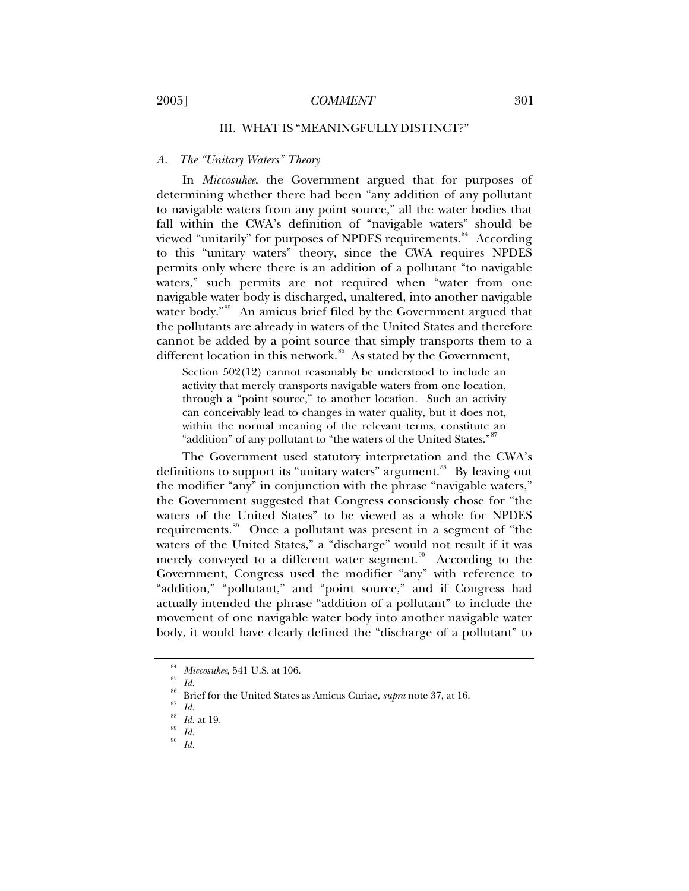## <span id="page-12-0"></span>2005] *COMMENT* 301

## III. WHAT IS "MEANINGFULLY DISTINCT?"

## *A. The "Unitary Waters" Theory*

In *Miccosukee*, the Government argued that for purposes of determining whether there had been "any addition of any pollutant to navigable waters from any point source," all the water bodies that fall within the CWA's definition of "navigable waters" should be viewed "unitarily" for purposes of NPDES requirements.<sup>[84](#page-12-1)</sup> According to this "unitary waters" theory, since the CWA requires NPDES permits only where there is an addition of a pollutant "to navigable waters," such permits are not required when "water from one navigable water body is discharged, unaltered, into another navigable water body."<sup>[85](#page-12-2)</sup> An amicus brief filed by the Government argued that the pollutants are already in waters of the United States and therefore cannot be added by a point source that simply transports them to a different location in this network.<sup>[86](#page-12-3)</sup> As stated by the Government,

Section 502(12) cannot reasonably be understood to include an activity that merely transports navigable waters from one location, through a "point source," to another location. Such an activity can conceivably lead to changes in water quality, but it does not, within the normal meaning of the relevant terms, constitute an "addition" of any pollutant to "the waters of the United States."<sup>[87](#page-12-4)</sup>

The Government used statutory interpretation and the CWA's definitions to support its "unitary waters" argument.<sup>[88](#page-12-5)</sup> By leaving out the modifier "any" in conjunction with the phrase "navigable waters," the Government suggested that Congress consciously chose for "the waters of the United States" to be viewed as a whole for NPDES requirements.<sup>[89](#page-12-6)</sup> Once a pollutant was present in a segment of "the waters of the United States," a "discharge" would not result if it was merely conveyed to a different water segment.<sup>[90](#page-12-7)</sup> According to the Government, Congress used the modifier "any" with reference to "addition," "pollutant," and "point source," and if Congress had actually intended the phrase "addition of a pollutant" to include the movement of one navigable water body into another navigable water body, it would have clearly defined the "discharge of a pollutant" to

<sup>84</sup> *Miccosukee*, 541 U.S. at 106. 85 *Id.*

<span id="page-12-2"></span><span id="page-12-1"></span>

<span id="page-12-4"></span><span id="page-12-3"></span><sup>86</sup> Brief for the United States as Amicus Curiae, *supra* note 37, at 16. 87 *Id.*

<span id="page-12-6"></span><span id="page-12-5"></span><sup>88</sup> *Id.* at 19. 89 *Id.*

<span id="page-12-7"></span>

<sup>90</sup> *Id.*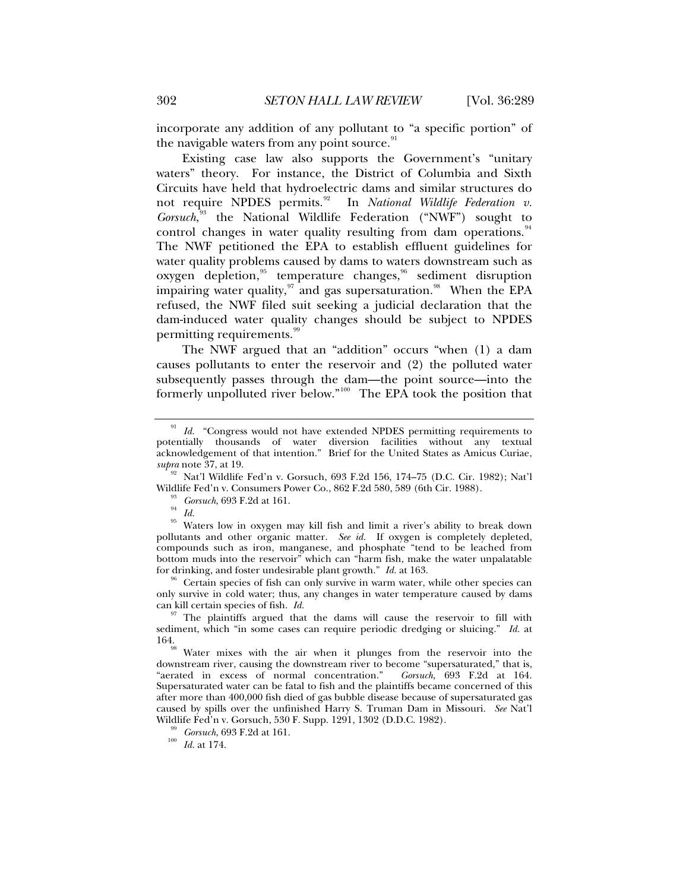incorporate any addition of any pollutant to "a specific portion" of the navigable waters from any point source.<sup>[91](#page-13-0)</sup>

Existing case law also supports the Government's "unitary waters" theory. For instance, the District of Columbia and Sixth Circuits have held that hydroelectric dams and similar structures do not require NPDES permits.<sup>[92](#page-13-1)</sup> In *National Wildlife Federation v. Gorsuch*, [93](#page-13-2) the National Wildlife Federation ("NWF") sought to control changes in water quality resulting from dam operations.<sup>[94](#page-13-3)</sup> The NWF petitioned the EPA to establish effluent guidelines for water quality problems caused by dams to waters downstream such as oxygen depletion,<sup>[95](#page-13-4)</sup> temperature changes,<sup>[96](#page-13-5)</sup> sediment disruption impairing water quality, $97$  and gas supersaturation.<sup>[98](#page-13-7)</sup> When the EPA refused, the NWF filed suit seeking a judicial declaration that the dam-induced water quality changes should be subject to NPDES permitting requirements.<sup>[99](#page-13-8)</sup>

The NWF argued that an "addition" occurs "when (1) a dam causes pollutants to enter the reservoir and (2) the polluted water subsequently passes through the dam—the point source—into the formerly unpolluted river below."<sup>[100](#page-13-9)</sup> The EPA took the position that

<span id="page-13-5"></span>Certain species of fish can only survive in warm water, while other species can only survive in cold water; thus, any changes in water temperature caused by dams can kill certain species of fish.  $Id$ .

<span id="page-13-0"></span>Id. "Congress would not have extended NPDES permitting requirements to potentially thousands of water diversion facilities without any textual acknowledgement of that intention." Brief for the United States as Amicus Curiae,

<span id="page-13-1"></span>*supra* note 37, at 19. 92 Nat'l Wildlife Fed'n v. Gorsuch, 693 F.2d 156, 174–75 (D.C. Cir. 1982); Nat'l Wildlife Fed'n v. Consumers Power Co., 862 F.2d 580, 589 (6th Cir. 1988). 93 *Gorsuch*, 693 F.2d at 161. 94 *Id.*

<span id="page-13-4"></span><span id="page-13-3"></span><span id="page-13-2"></span><sup>95</sup> Waters low in oxygen may kill fish and limit a river's ability to break down pollutants and other organic matter. *See id.* If oxygen is completely depleted, compounds such as iron, manganese, and phosphate "tend to be leached from bottom muds into the reservoir<sup>"</sup> which can "harm fish, make the water unpalatable for drinking, and foster undesirable plant growth." *Id.* at 163.

<span id="page-13-6"></span><sup>&</sup>lt;sup>97</sup> The plaintiffs argued that the dams will cause the reservoir to fill with sediment, which "in some cases can require periodic dredging or sluicing." *Id.* at 164. 98 Water mixes with the air when it plunges from the reservoir into the

<span id="page-13-7"></span>downstream river, causing the downstream river to become "supersaturated," that is, "aerated in excess of normal concentration." *Gorsuch*, 693 F.2d at 164. Supersaturated water can be fatal to fish and the plaintiffs became concerned of this after more than 400,000 fish died of gas bubble disease because of supersaturated gas caused by spills over the unfinished Harry S. Truman Dam in Missouri. *See* Nat'l

<span id="page-13-9"></span><span id="page-13-8"></span><sup>&</sup>lt;sup>99</sup> *Gorsuch*, 693 F.2d at 161.<br><sup>100</sup> *Id.* at 174.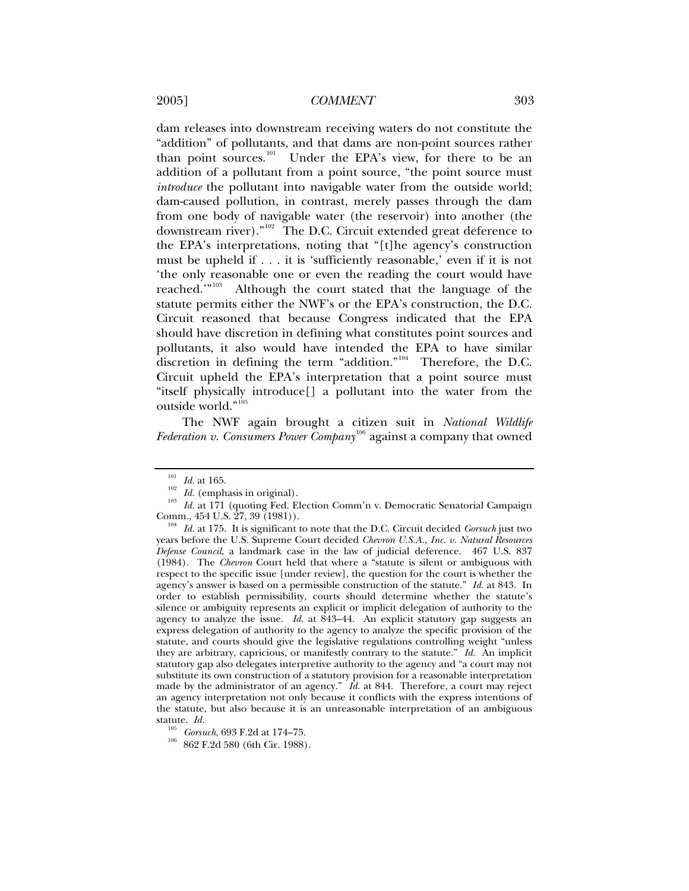dam releases into downstream receiving waters do not constitute the "addition" of pollutants, and that dams are non-point sources rather than point sources.<sup>[101](#page-14-0)</sup> Under the EPA's view, for there to be an addition of a pollutant from a point source, "the point source must *introduce* the pollutant into navigable water from the outside world; dam-caused pollution, in contrast, merely passes through the dam from one body of navigable water (the reservoir) into another (the downstream river)."[102](#page-14-1) The D.C. Circuit extended great deference to the EPA's interpretations, noting that "[t]he agency's construction must be upheld if . . . it is 'sufficiently reasonable,' even if it is not 'the only reasonable one or even the reading the court would have reached.'"<sup>[103](#page-14-2)</sup> Although the court stated that the language of the statute permits either the NWF's or the EPA's construction, the D.C. Circuit reasoned that because Congress indicated that the EPA should have discretion in defining what constitutes point sources and pollutants, it also would have intended the EPA to have similar discretion in defining the term "addition."[104](#page-14-3) Therefore, the D.C. Circuit upheld the EPA's interpretation that a point source must "itself physically introduce[] a pollutant into the water from the outside world."<sup>[105](#page-14-4)</sup>

The NWF again brought a citizen suit in *National Wildlife Federation v. Consumers Power Company*<sup>[106](#page-14-5)</sup> against a company that owned

<span id="page-14-1"></span><span id="page-14-0"></span><sup>&</sup>lt;sup>101</sup> *Id.* at 165.<br><sup>102</sup> *Id.* (emphasis in original).<br><sup>103</sup> *Id.* at 171 (quoting Fed. Election Comm'n v. Democratic Senatorial Campaign Comm., 454 U.S. 27, 39 (1981)).

<span id="page-14-3"></span><span id="page-14-2"></span><sup>&</sup>lt;sup>104</sup> Id. at 175. It is significant to note that the D.C. Circuit decided *Gorsuch* just two years before the U.S. Supreme Court decided *Chevron U.S.A., Inc. v. Natural Resources Defense Council*, a landmark case in the law of judicial deference. 467 U.S. 837 (1984). The *Chevron* Court held that where a "statute is silent or ambiguous with respect to the specific issue [under review], the question for the court is whether the agency's answer is based on a permissible construction of the statute." *Id.* at 843. In order to establish permissibility, courts should determine whether the statute's silence or ambiguity represents an explicit or implicit delegation of authority to the agency to analyze the issue. *Id.* at 843–44. An explicit statutory gap suggests an express delegation of authority to the agency to analyze the specific provision of the statute, and courts should give the legislative regulations controlling weight "unless they are arbitrary, capricious, or manifestly contrary to the statute." *Id.* An implicit statutory gap also delegates interpretive authority to the agency and "a court may not substitute its own construction of a statutory provision for a reasonable interpretation made by the administrator of an agency." *Id.* at 844. Therefore, a court may reject an agency interpretation not only because it conflicts with the express intentions of the statute, but also because it is an unreasonable interpretation of an ambiguous statute.  $Id$ .

<span id="page-14-5"></span><span id="page-14-4"></span><sup>&</sup>lt;sup>105</sup> *Gorsuch*, 693 F.2d at 174–75.<br><sup>106</sup> 862 F.2d 580 (6th Cir. 1988).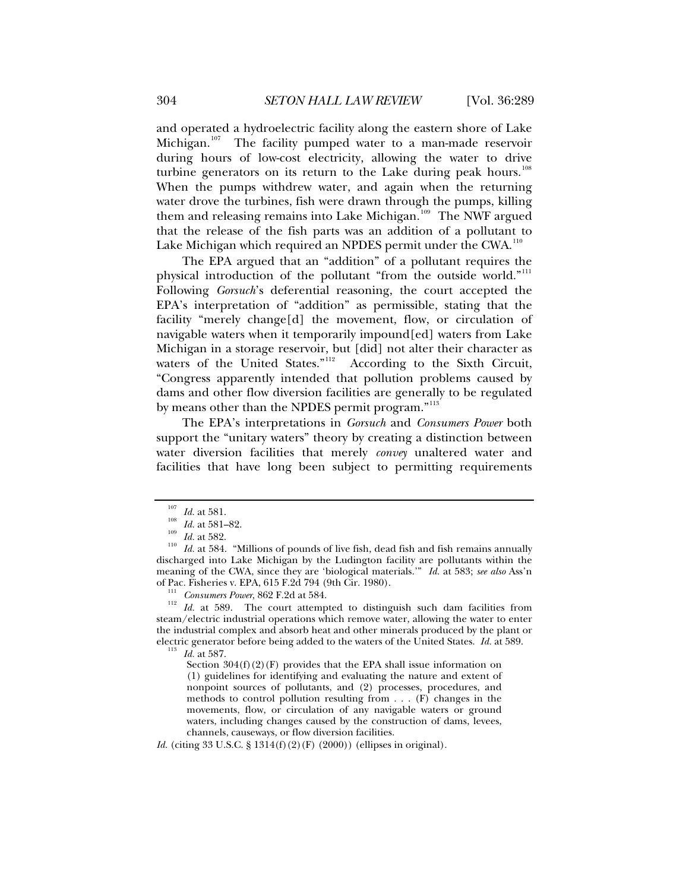and operated a hydroelectric facility along the eastern shore of Lake Michigan.<sup>[107](#page-15-0)</sup> The facility pumped water to a man-made reservoir during hours of low-cost electricity, allowing the water to drive turbine generators on its return to the Lake during peak hours.<sup>[108](#page-15-1)</sup> When the pumps withdrew water, and again when the returning water drove the turbines, fish were drawn through the pumps, killing them and releasing remains into Lake Michigan.<sup>[109](#page-15-2)</sup> The NWF argued that the release of the fish parts was an addition of a pollutant to Lake Michigan which required an NPDES permit under the CWA.<sup>[110](#page-15-3)</sup>

The EPA argued that an "addition" of a pollutant requires the physical introduction of the pollutant "from the outside world."<sup>[111](#page-15-4)</sup> Following *Gorsuch*'s deferential reasoning, the court accepted the EPA's interpretation of "addition" as permissible, stating that the facility "merely change[d] the movement, flow, or circulation of navigable waters when it temporarily impound[ed] waters from Lake Michigan in a storage reservoir, but [did] not alter their character as waters of the United States."<sup>[112](#page-15-5)</sup> According to the Sixth Circuit, "Congress apparently intended that pollution problems caused by dams and other flow diversion facilities are generally to be regulated by means other than the NPDES permit program."<sup>[113](#page-15-6)</sup>

The EPA's interpretations in *Gorsuch* and *Consumers Power* both support the "unitary waters" theory by creating a distinction between water diversion facilities that merely *convey* unaltered water and facilities that have long been subject to permitting requirements

<span id="page-15-6"></span><span id="page-15-5"></span><span id="page-15-4"></span><sup>111</sup> Consumers Power, 862 F.2d at 584.<br><sup>112</sup> Id. at 589. The court attempted to distinguish such dam facilities from steam/electric industrial operations which remove water, allowing the water to enter the industrial complex and absorb heat and other minerals produced by the plant or electric generator before being added to the waters of the United States. *Id.* at 589. 113 *Id.* at 587.

Section  $304(f)(2)(F)$  provides that the EPA shall issue information on (1) guidelines for identifying and evaluating the nature and extent of nonpoint sources of pollutants, and (2) processes, procedures, and methods to control pollution resulting from . . . (F) changes in the movements, flow, or circulation of any navigable waters or ground waters, including changes caused by the construction of dams, levees, channels, causeways, or flow diversion facilities.

*Id.* (citing 33 U.S.C. § 1314(f)(2)(F) (2000)) (ellipses in original).

<span id="page-15-3"></span><span id="page-15-2"></span><span id="page-15-1"></span><span id="page-15-0"></span><sup>&</sup>lt;sup>107</sup> *Id.* at 581.<br><sup>108</sup> *Id.* at 581–82.<br><sup>109</sup> *Id.* at 582.<br><sup>110</sup> *Id.* at 584. "Millions of pounds of live fish, dead fish and fish remains annually discharged into Lake Michigan by the Ludington facility are pollutants within the meaning of the CWA, since they are 'biological materials.'" *Id.* at 583; *see also* Ass'n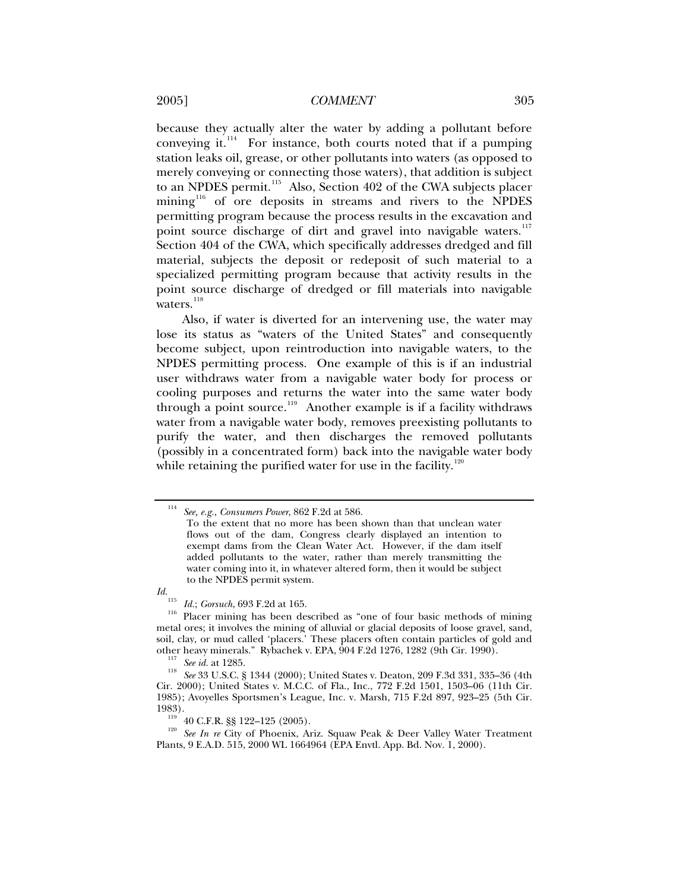## 2005] *COMMENT* 305

because they actually alter the water by adding a pollutant before conveying it. $^{114}$  $^{114}$  $^{114}$  For instance, both courts noted that if a pumping station leaks oil, grease, or other pollutants into waters (as opposed to merely conveying or connecting those waters), that addition is subject to an NPDES permit.<sup>[115](#page-16-1)</sup> Also, Section 402 of the CWA subjects placer mining<sup>[116](#page-16-2)</sup> of ore deposits in streams and rivers to the NPDES permitting program because the process results in the excavation and point source discharge of dirt and gravel into navigable waters.<sup>[117](#page-16-3)</sup> Section 404 of the CWA, which specifically addresses dredged and fill material, subjects the deposit or redeposit of such material to a specialized permitting program because that activity results in the point source discharge of dredged or fill materials into navigable  $\frac{1}{18}$  waters.<sup>[118](#page-16-4)</sup>

Also, if water is diverted for an intervening use, the water may lose its status as "waters of the United States" and consequently become subject, upon reintroduction into navigable waters, to the NPDES permitting process. One example of this is if an industrial user withdraws water from a navigable water body for process or cooling purposes and returns the water into the same water body through a point source.<sup>[119](#page-16-5)</sup> Another example is if a facility withdraws water from a navigable water body, removes preexisting pollutants to purify the water, and then discharges the removed pollutants (possibly in a concentrated form) back into the navigable water body while retaining the purified water for use in the facility.<sup>[120](#page-16-6)</sup>

<span id="page-16-2"></span><span id="page-16-1"></span>

<span id="page-16-0"></span><sup>114</sup> *See, e.g.*, *Consumers Power*, 862 F.2d at 586.

To the extent that no more has been shown than that unclean water flows out of the dam, Congress clearly displayed an intention to exempt dams from the Clean Water Act. However, if the dam itself added pollutants to the water, rather than merely transmitting the water coming into it, in whatever altered form, then it would be subject to the NPDES permit system.

*Id.*<br><sup>115</sup> *Id.*; *Gorsuch*, 693 F.2d at 165. Placer mining has been described as "one of four basic methods of mining  $\frac{1}{16}$ metal ores; it involves the mining of alluvial or glacial deposits of loose gravel, sand, soil, clay, or mud called 'placers.' These placers often contain particles of gold and other heavy minerals." Rybachek v. EPA, 904 F.2d 1276, 1282 (9th Cir. 1990).

<span id="page-16-4"></span><span id="page-16-3"></span><sup>&</sup>lt;sup>117</sup> See id. at 1285.<br><sup>118</sup> See 33 U.S.C. § 1344 (2000); United States v. Deaton, 209 F.3d 331, 335–36 (4th Cir. 2000); United States v. M.C.C. of Fla., Inc., 772 F.2d 1501, 1503–06 (11th Cir. 1985); Avoyelles Sportsmen's League, Inc. v. Marsh, 715 F.2d 897, 923–25 (5th Cir.

<span id="page-16-6"></span><span id="page-16-5"></span><sup>1983). 119 40</sup> C.F.R. §§ 122–125 (2005). 120 *See In re* City of Phoenix, Ariz. Squaw Peak & Deer Valley Water Treatment Plants, 9 E.A.D. 515, 2000 WL 1664964 (EPA Envtl. App. Bd. Nov. 1, 2000).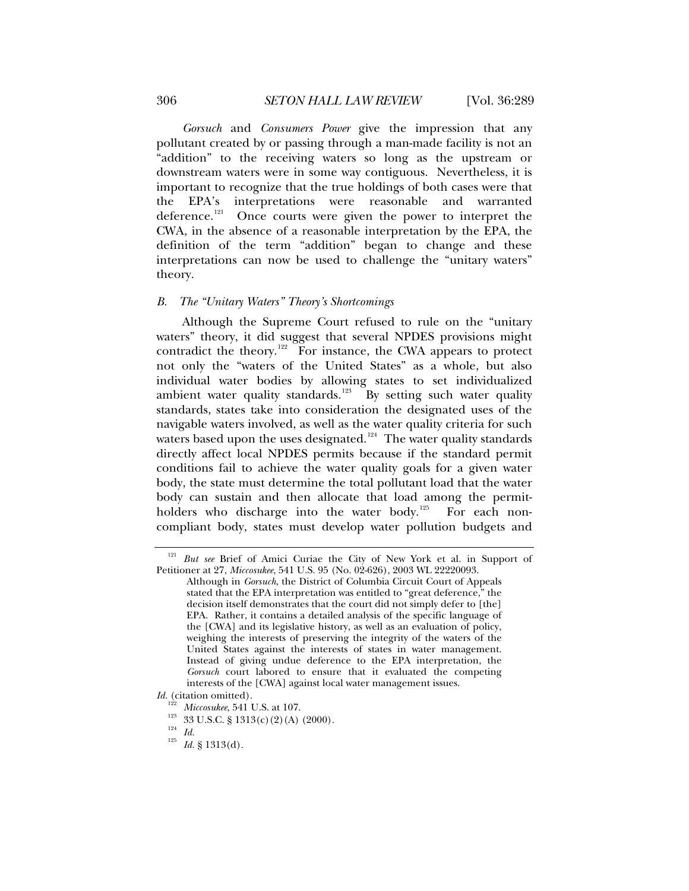*Gorsuch* and *Consumers Power* give the impression that any pollutant created by or passing through a man-made facility is not an "addition" to the receiving waters so long as the upstream or downstream waters were in some way contiguous. Nevertheless, it is important to recognize that the true holdings of both cases were that the EPA's interpretations were reasonable and warranted deference.<sup>[121](#page-17-1)</sup> Once courts were given the power to interpret the CWA, in the absence of a reasonable interpretation by the EPA, the definition of the term "addition" began to change and these interpretations can now be used to challenge the "unitary waters" theory.

#### *B. The "Unitary Waters" Theory's Shortcomings*

Although the Supreme Court refused to rule on the "unitary waters" theory, it did suggest that several NPDES provisions might contradict the theory.<sup>[122](#page-17-2)</sup> For instance, the CWA appears to protect not only the "waters of the United States" as a whole, but also individual water bodies by allowing states to set individualized ambient water quality standards.<sup>[123](#page-17-3)</sup> By setting such water quality standards, states take into consideration the designated uses of the navigable waters involved, as well as the water quality criteria for such waters based upon the uses designated.<sup>[124](#page-17-4)</sup> The water quality standards directly affect local NPDES permits because if the standard permit conditions fail to achieve the water quality goals for a given water body, the state must determine the total pollutant load that the water body can sustain and then allocate that load among the permit-holders who discharge into the water body.<sup>[125](#page-17-5)</sup> For each noncompliant body, states must develop water pollution budgets and

<span id="page-17-0"></span>

<span id="page-17-1"></span>But see Brief of Amici Curiae the City of New York et al. in Support of Petitioner at 27, *Miccosukee*, 541 U.S. 95 (No. 02-626), 2003 WL 22220093.

Although in *Gorsuch*, the District of Columbia Circuit Court of Appeals stated that the EPA interpretation was entitled to "great deference," the decision itself demonstrates that the court did not simply defer to [the] EPA. Rather, it contains a detailed analysis of the specific language of the [CWA] and its legislative history, as well as an evaluation of policy, weighing the interests of preserving the integrity of the waters of the United States against the interests of states in water management. Instead of giving undue deference to the EPA interpretation, the *Gorsuch* court labored to ensure that it evaluated the competing interests of the [CWA] against local water management issues.

<span id="page-17-5"></span><span id="page-17-4"></span><span id="page-17-3"></span><span id="page-17-2"></span>*Id.* (citation omitted).

<sup>1&</sup>lt;sup>22</sup> Miccosukee, 541 U.S. at 107.<br><sup>123</sup> 33 U.S.C. § 1313(c)(2)(A) (2000).<br><sup>124</sup> *Id.* 125 *Id.* § 1313(d).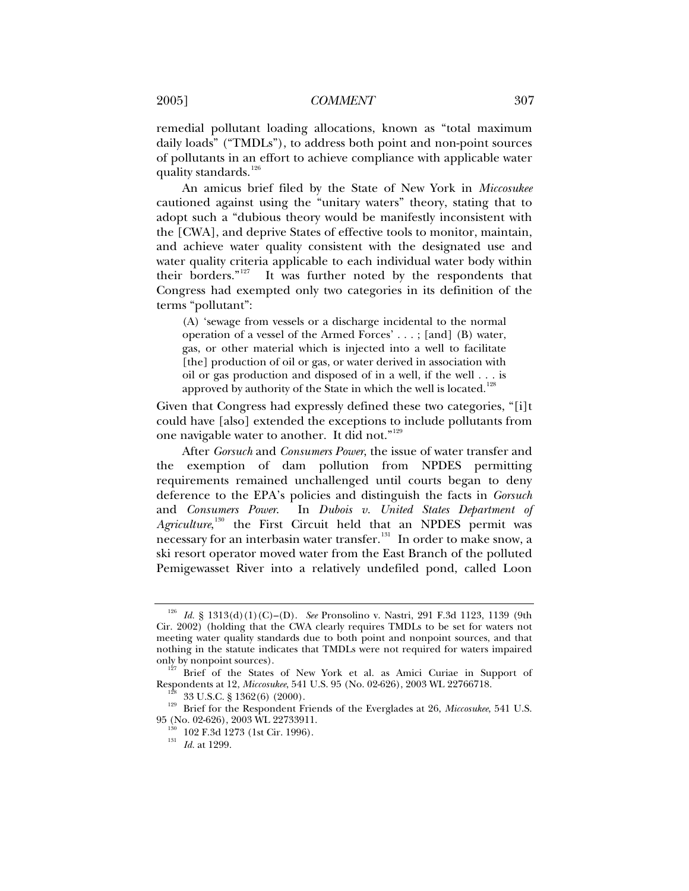remedial pollutant loading allocations, known as "total maximum daily loads" ("TMDLs"), to address both point and non-point sources of pollutants in an effort to achieve compliance with applicable water quality standards.<sup>[126](#page-18-0)</sup>

An amicus brief filed by the State of New York in *Miccosukee*  cautioned against using the "unitary waters" theory, stating that to adopt such a "dubious theory would be manifestly inconsistent with the [CWA], and deprive States of effective tools to monitor, maintain, and achieve water quality consistent with the designated use and water quality criteria applicable to each individual water body within their borders."[127](#page-18-1) It was further noted by the respondents that Congress had exempted only two categories in its definition of the terms "pollutant":

(A) 'sewage from vessels or a discharge incidental to the normal operation of a vessel of the Armed Forces' . . . ; [and] (B) water, gas, or other material which is injected into a well to facilitate [the] production of oil or gas, or water derived in association with oil or gas production and disposed of in a well, if the well . . . is approved by authority of the State in which the well is located.<sup>[128](#page-18-2)</sup>

Given that Congress had expressly defined these two categories, "[i]t could have [also] extended the exceptions to include pollutants from one navigable water to another. It did not."<sup>[129](#page-18-3)</sup>

After *Gorsuch* and *Consumers Power*, the issue of water transfer and the exemption of dam pollution from NPDES permitting requirements remained unchallenged until courts began to deny deference to the EPA's policies and distinguish the facts in *Gorsuch*  and *Consumers Power*. In *Dubois v. United States Department of*  Agriculture,<sup>[130](#page-18-4)</sup> the First Circuit held that an NPDES permit was necessary for an interbasin water transfer.<sup>[131](#page-18-5)</sup> In order to make snow, a ski resort operator moved water from the East Branch of the polluted Pemigewasset River into a relatively undefiled pond, called Loon

<span id="page-18-0"></span><sup>126</sup> *Id.* § 1313(d)(1)(C)–(D). *See* Pronsolino v. Nastri, 291 F.3d 1123, 1139 (9th Cir. 2002) (holding that the CWA clearly requires TMDLs to be set for waters not meeting water quality standards due to both point and nonpoint sources, and that nothing in the statute indicates that TMDLs were not required for waters impaired

<span id="page-18-1"></span>only by nonpoint sources).<br><sup>127</sup> Brief of the States of New York et al. as Amici Curiae in Support of Respondents at 12, *Miccosukee*, 541 U.S. 95 (No. 02-626), 2003 WL 22766718.

<span id="page-18-5"></span><span id="page-18-4"></span><span id="page-18-3"></span><span id="page-18-2"></span><sup>&</sup>lt;sup>128</sup> 33 U.S.C. § 1362(6) (2000).<br><sup>129</sup> Brief for the Respondent Friends of the Everglades at 26, *Miccosukee*, 541 U.S. 95 (No. 02-626), 2003 WL 22733911. 130 102 F.3d 1273 (1st Cir. 1996). 131 *Id.* at 1299.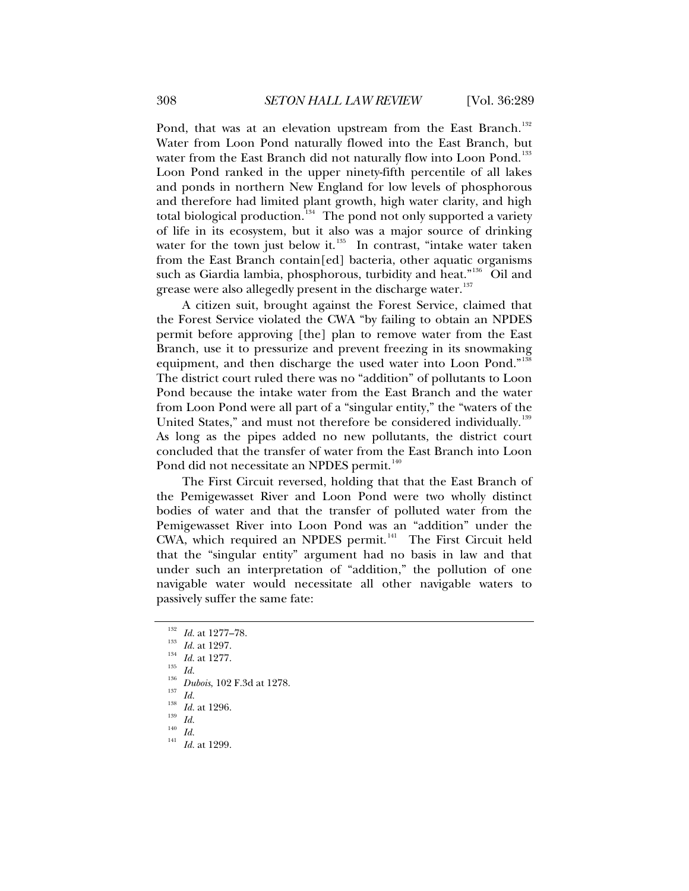Pond, that was at an elevation upstream from the East Branch.<sup>[132](#page-19-0)</sup> Water from Loon Pond naturally flowed into the East Branch, but water from the East Branch did not naturally flow into Loon Pond.<sup>[133](#page-19-1)</sup> Loon Pond ranked in the upper ninety-fifth percentile of all lakes and ponds in northern New England for low levels of phosphorous and therefore had limited plant growth, high water clarity, and high total biological production.<sup>[134](#page-19-2)</sup> The pond not only supported a variety of life in its ecosystem, but it also was a major source of drinking water for the town just below it. $^{135}$  $^{135}$  $^{135}$  In contrast, "intake water taken from the East Branch contain[ed] bacteria, other aquatic organisms such as Giardia lambia, phosphorous, turbidity and heat."<sup>[136](#page-19-4)</sup> Oil and grease were also allegedly present in the discharge water.<sup>[137](#page-19-5)</sup>

A citizen suit, brought against the Forest Service, claimed that the Forest Service violated the CWA "by failing to obtain an NPDES permit before approving [the] plan to remove water from the East Branch, use it to pressurize and prevent freezing in its snowmaking equipment, and then discharge the used water into Loon Pond."<sup>[138](#page-19-6)</sup> The district court ruled there was no "addition" of pollutants to Loon Pond because the intake water from the East Branch and the water from Loon Pond were all part of a "singular entity," the "waters of the United States," and must not therefore be considered individually.<sup>[139](#page-19-7)</sup> As long as the pipes added no new pollutants, the district court concluded that the transfer of water from the East Branch into Loon Pond did not necessitate an NPDES permit.<sup>[140](#page-19-8)</sup>

The First Circuit reversed, holding that that the East Branch of the Pemigewasset River and Loon Pond were two wholly distinct bodies of water and that the transfer of polluted water from the Pemigewasset River into Loon Pond was an "addition" under the CWA, which required an NPDES permit.<sup>[141](#page-19-9)</sup> The First Circuit held that the "singular entity" argument had no basis in law and that under such an interpretation of "addition," the pollution of one navigable water would necessitate all other navigable waters to passively suffer the same fate:

<span id="page-19-5"></span>

- <span id="page-19-8"></span><span id="page-19-7"></span><span id="page-19-6"></span>
- <span id="page-19-9"></span>
- 

<span id="page-19-4"></span><span id="page-19-3"></span><span id="page-19-2"></span>

<span id="page-19-1"></span><span id="page-19-0"></span><sup>1&</sup>lt;sup>32</sup> Id. at 1277–78.<br><sup>133</sup> Id. at 1297.<br><sup>134</sup> Id. at 1277.<br><sup>136</sup> Dubois, 102 F.3d at 1278.<br><sup>137</sup> Id.<br><sup>138</sup> Id. at 1296.<br>Id. 140 Id.<br><sup>140</sup> Id. at 1299.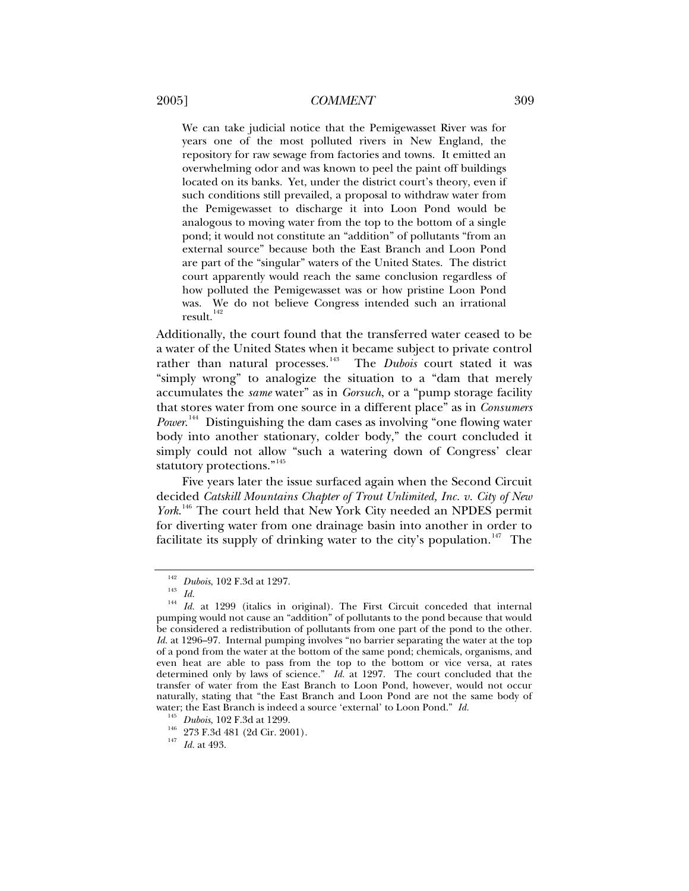We can take judicial notice that the Pemigewasset River was for years one of the most polluted rivers in New England, the repository for raw sewage from factories and towns. It emitted an overwhelming odor and was known to peel the paint off buildings located on its banks. Yet, under the district court's theory, even if such conditions still prevailed, a proposal to withdraw water from the Pemigewasset to discharge it into Loon Pond would be analogous to moving water from the top to the bottom of a single pond; it would not constitute an "addition" of pollutants "from an external source" because both the East Branch and Loon Pond are part of the "singular" waters of the United States. The district court apparently would reach the same conclusion regardless of how polluted the Pemigewasset was or how pristine Loon Pond was. We do not believe Congress intended such an irrational result.<sup>[142](#page-20-0)</sup>

Additionally, the court found that the transferred water ceased to be a water of the United States when it became subject to private control rather than natural processes.<sup>[143](#page-20-1)</sup> The *Dubois* court stated it was "simply wrong" to analogize the situation to a "dam that merely accumulates the *same* water" as in *Gorsuch*, or a "pump storage facility that stores water from one source in a different place" as in *Consumers*  Power.<sup>[144](#page-20-2)</sup> Distinguishing the dam cases as involving "one flowing water body into another stationary, colder body," the court concluded it simply could not allow "such a watering down of Congress' clear statutory protections."<sup>[145](#page-20-3)</sup>

Five years later the issue surfaced again when the Second Circuit decided *Catskill Mountains Chapter of Trout Unlimited, Inc. v. City of New York*. [146](#page-20-4) The court held that New York City needed an NPDES permit for diverting water from one drainage basin into another in order to facilitate its supply of drinking water to the city's population.<sup>[147](#page-20-5)</sup> The

<span id="page-20-2"></span><span id="page-20-1"></span><span id="page-20-0"></span><sup>&</sup>lt;sup>142</sup> Dubois, 102 F.3d at 1297.<br><sup>143</sup> *Id. Id.* at 1299 (italics in original). The First Circuit conceded that internal pumping would not cause an "addition" of pollutants to the pond because that would be considered a redistribution of pollutants from one part of the pond to the other. *Id.* at 1296–97. Internal pumping involves "no barrier separating the water at the top of a pond from the water at the bottom of the same pond; chemicals, organisms, and even heat are able to pass from the top to the bottom or vice versa, at rates determined only by laws of science." *Id.* at 1297. The court concluded that the transfer of water from the East Branch to Loon Pond, however, would not occur naturally, stating that "the East Branch and Loon Pond are not the same body of water; the East Branch is indeed a source 'external' to Loon Pond." *Id.* <sup>145</sup> *Dubois*, 102 F.3d at 1299.<br><sup>146</sup> 273 F.3d 481 (2d Cir. 2001). *Id.* at 493.

<span id="page-20-5"></span><span id="page-20-4"></span><span id="page-20-3"></span>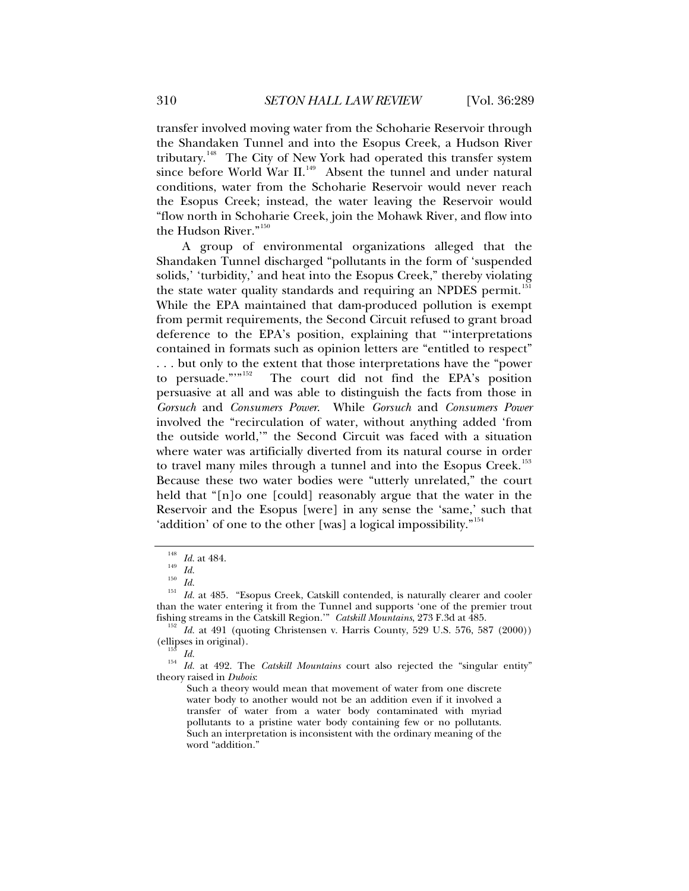transfer involved moving water from the Schoharie Reservoir through the Shandaken Tunnel and into the Esopus Creek, a Hudson River tributary.<sup>[148](#page-21-0)</sup> The City of New York had operated this transfer system since before World War II.<sup>[149](#page-21-1)</sup> Absent the tunnel and under natural conditions, water from the Schoharie Reservoir would never reach the Esopus Creek; instead, the water leaving the Reservoir would "flow north in Schoharie Creek, join the Mohawk River, and flow into the Hudson River."<sup>[150](#page-21-2)</sup>

A group of environmental organizations alleged that the Shandaken Tunnel discharged "pollutants in the form of 'suspended solids,' 'turbidity,' and heat into the Esopus Creek," thereby violating the state water quality standards and requiring an NPDES permit.<sup>1</sup> While the EPA maintained that dam-produced pollution is exempt from permit requirements, the Second Circuit refused to grant broad deference to the EPA's position, explaining that "'interpretations contained in formats such as opinion letters are "entitled to respect" . . . but only to the extent that those interpretations have the "power to persuade."<sup>[152](#page-21-4)</sup> The court did not find the EPA's position persuasive at all and was able to distinguish the facts from those in *Gorsuch* and *Consumers Power*. While *Gorsuch* and *Consumers Power* involved the "recirculation of water, without anything added 'from the outside world,'" the Second Circuit was faced with a situation where water was artificially diverted from its natural course in order to travel many miles through a tunnel and into the Esopus Creek.<sup>[153](#page-21-5)</sup> Because these two water bodies were "utterly unrelated," the court held that "[n]o one [could] reasonably argue that the water in the Reservoir and the Esopus [were] in any sense the 'same,' such that 'addition' of one to the other [was] a logical impossibility."<sup>[154](#page-21-6)</sup>

<span id="page-21-2"></span><span id="page-21-1"></span><span id="page-21-0"></span><sup>&</sup>lt;sup>148</sup> *Id.* at 484.<br>
<sup>149</sup> *Id.*<br>
<sup>150</sup> *Id.* at 485. "Esopus Creek, Catskill contended, is naturally clearer and cooler than the water entering it from the Tunnel and supports 'one of the premier trout fishing streams in the Catskill Region.'" Catskill Mountains, 273 F.3d at 485.

<span id="page-21-4"></span><span id="page-21-3"></span><sup>&</sup>lt;sup>152</sup> *Id.* at 491 (quoting Christensen v. Harris County, 529 U.S. 576, 587 (2000)) (ellipses in original).

<span id="page-21-6"></span><span id="page-21-5"></span><sup>&</sup>lt;sup>153</sup> Id.<br><sup>154</sup> Id. at 492. The *Catskill Mountains* court also rejected the "singular entity" theory raised in *Dubois*:

Such a theory would mean that movement of water from one discrete water body to another would not be an addition even if it involved a transfer of water from a water body contaminated with myriad pollutants to a pristine water body containing few or no pollutants. Such an interpretation is inconsistent with the ordinary meaning of the word "addition."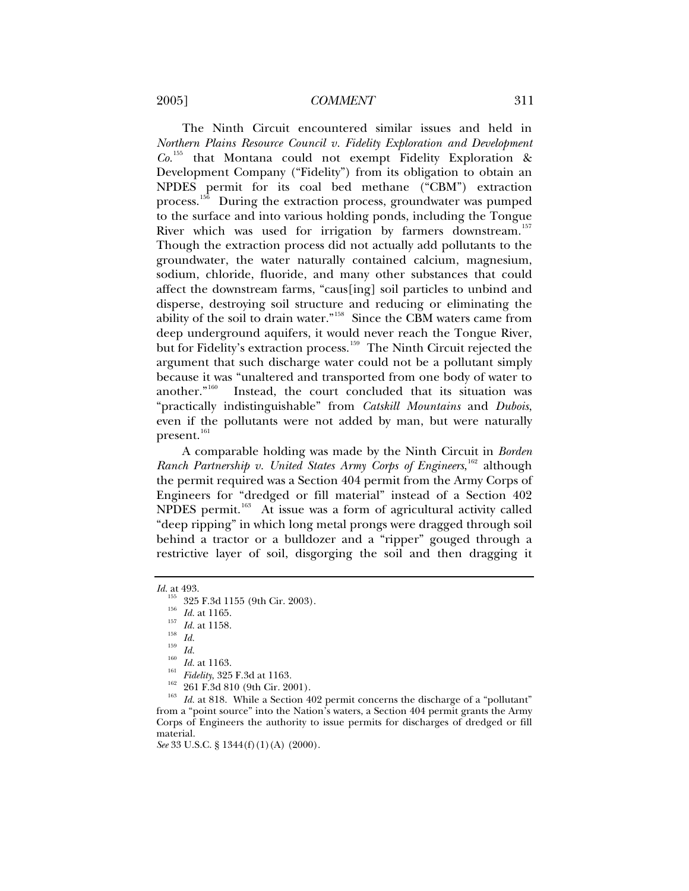#### 2005] *COMMENT* 311

The Ninth Circuit encountered similar issues and held in *Northern Plains Resource Council v. Fidelity Exploration and Development Co.*[155](#page-22-0) that Montana could not exempt Fidelity Exploration & Development Company ("Fidelity") from its obligation to obtain an NPDES permit for its coal bed methane ("CBM") extraction process.<sup>[156](#page-22-1)</sup> During the extraction process, groundwater was pumped to the surface and into various holding ponds, including the Tongue River which was used for irrigation by farmers downstream.<sup>[157](#page-22-2)</sup> Though the extraction process did not actually add pollutants to the groundwater, the water naturally contained calcium, magnesium, sodium, chloride, fluoride, and many other substances that could affect the downstream farms, "caus[ing] soil particles to unbind and disperse, destroying soil structure and reducing or eliminating the ability of the soil to drain water."[158](#page-22-3) Since the CBM waters came from deep underground aquifers, it would never reach the Tongue River, but for Fidelity's extraction process.<sup>[159](#page-22-4)</sup> The Ninth Circuit rejected the argument that such discharge water could not be a pollutant simply because it was "unaltered and transported from one body of water to another."<sup>160</sup> Instead, the court concluded that its situation was Instead, the court concluded that its situation was "practically indistinguishable" from *Catskill Mountains* and *Dubois*, even if the pollutants were not added by man, but were naturally present.<sup>[161](#page-22-6)</sup>

A comparable holding was made by the Ninth Circuit in *Borden*  Ranch Partnership v. United States Army Corps of Engineers,<sup>[162](#page-22-7)</sup> although the permit required was a Section 404 permit from the Army Corps of Engineers for "dredged or fill material" instead of a Section 402 NPDES permit.<sup>[163](#page-22-8)</sup> At issue was a form of agricultural activity called "deep ripping" in which long metal prongs were dragged through soil behind a tractor or a bulldozer and a "ripper" gouged through a restrictive layer of soil, disgorging the soil and then dragging it

<span id="page-22-8"></span><span id="page-22-7"></span>*See* 33 U.S.C. § 1344(f)(1)(A)(2000).

*Id.* at 493.<br><sup>155</sup> 325 F.3d 1155 (9th Cir. 2003).

<span id="page-22-6"></span>

<span id="page-22-5"></span><span id="page-22-4"></span><span id="page-22-3"></span><span id="page-22-2"></span><span id="page-22-1"></span><span id="page-22-0"></span><sup>&</sup>lt;sup>156</sup> *Id.* at 1165.<br>
<sup>157</sup> *Id.* at 1158.<br> *Id.* at 1158.<br> *Id. Id. Id. Id.*<br> *Id. Id. Id. Id. Id. Id. If. Id. If idelity*, 325 F.3d at 1163.<br>
<sup>162</sup> 261 F.3d 810 (9th Cir. 2001).<br> *Id. Id.* at 818 from a "point source" into the Nation's waters, a Section 404 permit grants the Army Corps of Engineers the authority to issue permits for discharges of dredged or fill material.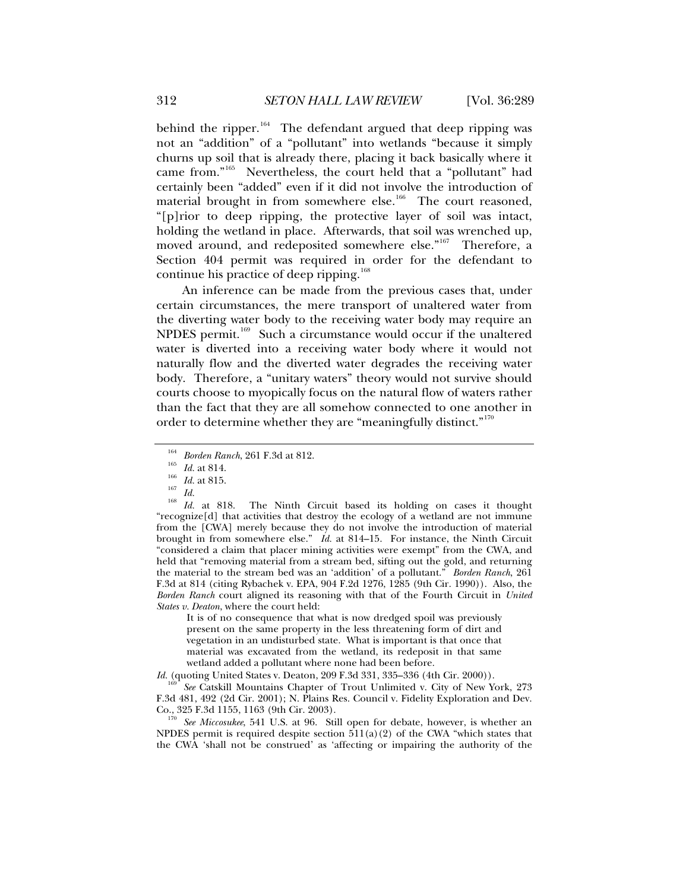behind the ripper. $164$  The defendant argued that deep ripping was not an "addition" of a "pollutant" into wetlands "because it simply churns up soil that is already there, placing it back basically where it came from."[165](#page-23-1) Nevertheless, the court held that a "pollutant" had certainly been "added" even if it did not involve the introduction of material brought in from somewhere else.<sup>[166](#page-23-2)</sup> The court reasoned, "[p]rior to deep ripping, the protective layer of soil was intact, holding the wetland in place. Afterwards, that soil was wrenched up, moved around, and redeposited somewhere else."<sup>[167](#page-23-3)</sup> Therefore, a Section 404 permit was required in order for the defendant to continue his practice of deep ripping.<sup>[168](#page-23-4)</sup>

An inference can be made from the previous cases that, under certain circumstances, the mere transport of unaltered water from the diverting water body to the receiving water body may require an NPDES permit.<sup>[169](#page-23-5)</sup> Such a circumstance would occur if the unaltered water is diverted into a receiving water body where it would not naturally flow and the diverted water degrades the receiving water body. Therefore, a "unitary waters" theory would not survive should courts choose to myopically focus on the natural flow of waters rather than the fact that they are all somehow connected to one another in order to determine whether they are "meaningfully distinct."<sup>[170](#page-23-6)</sup>

<span id="page-23-4"></span><span id="page-23-3"></span><span id="page-23-2"></span><span id="page-23-1"></span><span id="page-23-0"></span>1<sup>64</sup> Borden Ranch, 261 F.3d at 812.<br>
<sup>165</sup> *Id.* at 814.<br>
<sup>166</sup> *Id.* at 815.<br>
<sup>168</sup> *Id.* at 818. The Ninth Circuit based its holding on cases it thought "recognize $[d]$  that activities that destroy the ecology of a wetland are not immune from the [CWA] merely because they do not involve the introduction of material brought in from somewhere else." *Id.* at 814–15. For instance, the Ninth Circuit "considered a claim that placer mining activities were exempt" from the CWA, and held that "removing material from a stream bed, sifting out the gold, and returning the material to the stream bed was an 'addition' of a pollutant." *Borden Ranch*, 261 F.3d at 814 (citing Rybachek v. EPA, 904 F.2d 1276, 1285 (9th Cir. 1990)). Also, the *Borden Ranch* court aligned its reasoning with that of the Fourth Circuit in *United States v. Deaton*, where the court held:

It is of no consequence that what is now dredged spoil was previously present on the same property in the less threatening form of dirt and vegetation in an undisturbed state. What is important is that once that material was excavated from the wetland, its redeposit in that same wetland added a pollutant where none had been before.

*Id.* (quoting United States v. Deaton, 209 F.3d 331, 335–336 (4th Cir. 2000)).

<span id="page-23-5"></span>See Catskill Mountains Chapter of Trout Unlimited v. City of New York, 273 F.3d 481, 492 (2d Cir. 2001); N. Plains Res. Council v. Fidelity Exploration and Dev.

<span id="page-23-6"></span><sup>170</sup> See Miccosukee, 541 U.S. at 96. Still open for debate, however, is whether an NPDES permit is required despite section  $511(a)(2)$  of the CWA "which states that the CWA 'shall not be construed' as 'affecting or impairing the authority of the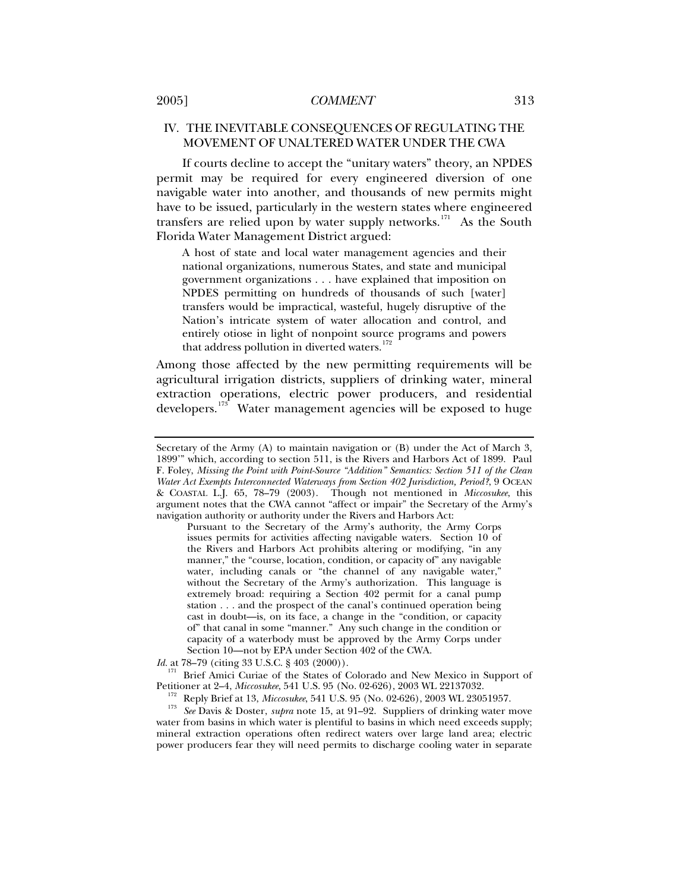# <span id="page-24-0"></span>IV. THE INEVITABLE CONSEQUENCES OF REGULATING THE MOVEMENT OF UNALTERED WATER UNDER THE CWA

If courts decline to accept the "unitary waters" theory, an NPDES permit may be required for every engineered diversion of one navigable water into another, and thousands of new permits might have to be issued, particularly in the western states where engineered transfers are relied upon by water supply networks.<sup>[171](#page-24-1)</sup> As the South Florida Water Management District argued:

A host of state and local water management agencies and their national organizations, numerous States, and state and municipal government organizations . . . have explained that imposition on NPDES permitting on hundreds of thousands of such [water] transfers would be impractical, wasteful, hugely disruptive of the Nation's intricate system of water allocation and control, and entirely otiose in light of nonpoint source programs and powers that address pollution in diverted waters.<sup>[172](#page-24-2)</sup>

Among those affected by the new permitting requirements will be agricultural irrigation districts, suppliers of drinking water, mineral extraction operations, electric power producers, and residential developers.<sup>[173](#page-24-3)</sup> Water management agencies will be exposed to huge

Pursuant to the Secretary of the Army's authority, the Army Corps issues permits for activities affecting navigable waters. Section 10 of the Rivers and Harbors Act prohibits altering or modifying, "in any manner," the "course, location, condition, or capacity of" any navigable water, including canals or "the channel of any navigable water," without the Secretary of the Army's authorization. This language is extremely broad: requiring a Section 402 permit for a canal pump station . . . and the prospect of the canal's continued operation being cast in doubt—is, on its face, a change in the "condition, or capacity of" that canal in some "manner." Any such change in the condition or capacity of a waterbody must be approved by the Army Corps under Section 10—not by EPA under Section 402 of the CWA.

*Id.* at 78–79 (citing 33 U.S.C. § 403 (2000)).

<span id="page-24-1"></span><sup>171</sup> Brief Amici Curiae of the States of Colorado and New Mexico in Support of Petitioner at 2–4, *Miccosukee*, 541 U.S. 95 (No. 02-626), 2003 WL 22137032.

<span id="page-24-3"></span><span id="page-24-2"></span><sup>172</sup> Reply Brief at 13, *Miccosukee*, 541 U.S. 95 (No. 02-626), 2003 WL 23051957.<br><sup>173</sup> See Davis & Doster, *supra* note 15, at 91–92. Suppliers of drinking water move water from basins in which water is plentiful to basins in which need exceeds supply; mineral extraction operations often redirect waters over large land area; electric power producers fear they will need permits to discharge cooling water in separate

Secretary of the Army (A) to maintain navigation or (B) under the Act of March 3, 1899'" which, according to section 511, is the Rivers and Harbors Act of 1899. Paul F. Foley, *Missing the Point with Point-Source "Addition" Semantics: Section 511 of the Clean Water Act Exempts Interconnected Waterways from Section 402 Jurisdiction, Period?*, 9 OCEAN & COASTAL L.J. 65, 78–79 (2003). Though not mentioned in *Miccosukee*, this argument notes that the CWA cannot "affect or impair" the Secretary of the Army's navigation authority or authority under the Rivers and Harbors Act: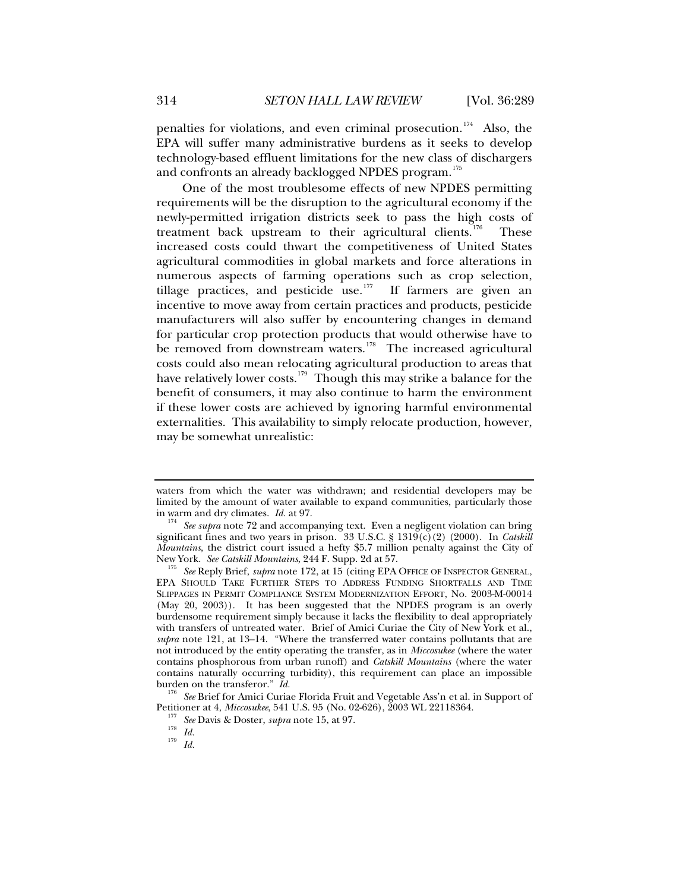penalties for violations, and even criminal prosecution.<sup>[174](#page-25-0)</sup> Also, the EPA will suffer many administrative burdens as it seeks to develop technology-based effluent limitations for the new class of dischargers and confronts an already backlogged NPDES program.<sup>[175](#page-25-1)</sup>

One of the most troublesome effects of new NPDES permitting requirements will be the disruption to the agricultural economy if the newly-permitted irrigation districts seek to pass the high costs of treatment back upstream to their agricultural clients.<sup>[176](#page-25-2)</sup> These increased costs could thwart the competitiveness of United States agricultural commodities in global markets and force alterations in numerous aspects of farming operations such as crop selection, tillage practices, and pesticide use.<sup>[177](#page-25-3)</sup> If farmers are given an incentive to move away from certain practices and products, pesticide manufacturers will also suffer by encountering changes in demand for particular crop protection products that would otherwise have to be removed from downstream waters. $178$  The increased agricultural costs could also mean relocating agricultural production to areas that have relatively lower costs.<sup>[179](#page-25-5)</sup> Though this may strike a balance for the benefit of consumers, it may also continue to harm the environment if these lower costs are achieved by ignoring harmful environmental externalities. This availability to simply relocate production, however, may be somewhat unrealistic:

waters from which the water was withdrawn; and residential developers may be limited by the amount of water available to expand communities, particularly those in warm and dry climates.  $Id$  at 97.

<span id="page-25-0"></span><sup>&</sup>lt;sup>174</sup> See supra note 72 and accompanying text. Even a negligent violation can bring significant fines and two years in prison. 33 U.S.C. § 1319(c)(2) (2000). In *Catskill Mountains*, the district court issued a hefty \$5.7 million penalty against the City of New York. *See Catskill Mountains*, 244 F. Supp. 2d at 57. 175 *See* Reply Brief, *supra* note 172, at 15 (citing EPA OFFICE OF INSPECTOR GENERAL,

<span id="page-25-1"></span>EPA SHOULD TAKE FURTHER STEPS TO ADDRESS FUNDING SHORTFALLS AND TIME SLIPPAGES IN PERMIT COMPLIANCE SYSTEM MODERNIZATION EFFORT, No. 2003-M-00014 (May 20, 2003)). It has been suggested that the NPDES program is an overly burdensome requirement simply because it lacks the flexibility to deal appropriately with transfers of untreated water. Brief of Amici Curiae the City of New York et al., *supra* note 121, at 13–14. "Where the transferred water contains pollutants that are not introduced by the entity operating the transfer, as in *Miccosukee* (where the water contains phosphorous from urban runoff) and *Catskill Mountains* (where the water contains naturally occurring turbidity), this requirement can place an impossible

<span id="page-25-5"></span><span id="page-25-4"></span><span id="page-25-3"></span><span id="page-25-2"></span>burden on the transferor." *Id.*<br><sup>176</sup> See Brief for Amici Curiae Florida Fruit and Vegetable Ass'n et al. in Support of<br>Petitioner at 4, *Miccosukee*, 541 U.S. 95 (No. 02-626), 2003 WL 22118364.

<sup>&</sup>lt;sup>177</sup> See Davis & Doster, *supra* note 15, at 97.<br><sup>178</sup> *Id.* 179 *Id.*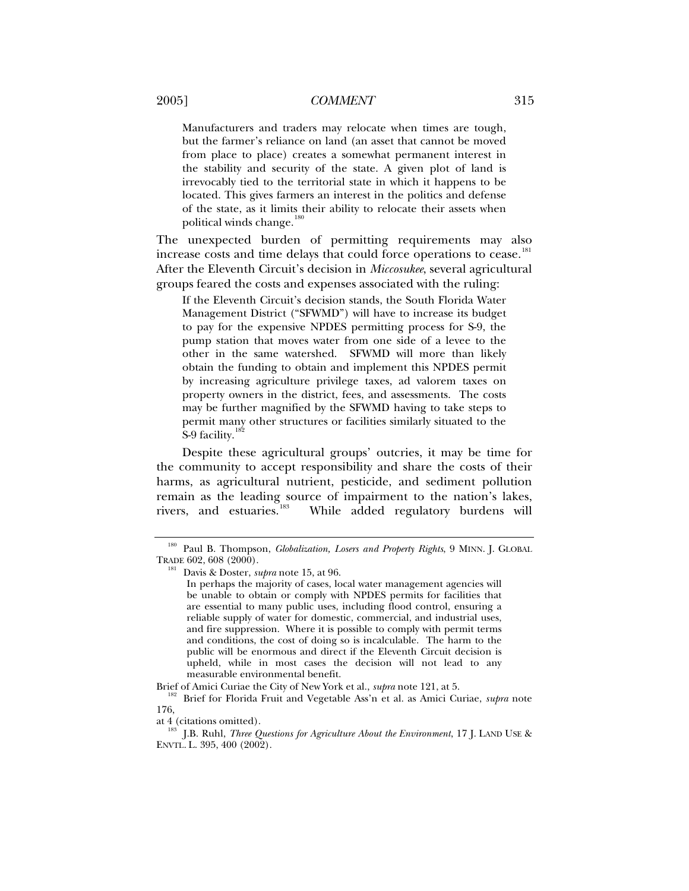Manufacturers and traders may relocate when times are tough, but the farmer's reliance on land (an asset that cannot be moved from place to place) creates a somewhat permanent interest in the stability and security of the state. A given plot of land is irrevocably tied to the territorial state in which it happens to be located. This gives farmers an interest in the politics and defense of the state, as it limits their ability to relocate their assets when political winds change. $\frac{1}{10}$ 

The unexpected burden of permitting requirements may also increase costs and time delays that could force operations to cease.<sup>[181](#page-26-1)</sup> After the Eleventh Circuit's decision in *Miccosukee*, several agricultural groups feared the costs and expenses associated with the ruling:

If the Eleventh Circuit's decision stands, the South Florida Water Management District ("SFWMD") will have to increase its budget to pay for the expensive NPDES permitting process for S-9, the pump station that moves water from one side of a levee to the other in the same watershed. SFWMD will more than likely obtain the funding to obtain and implement this NPDES permit by increasing agriculture privilege taxes, ad valorem taxes on property owners in the district, fees, and assessments. The costs may be further magnified by the SFWMD having to take steps to permit many other structures or facilities similarly situated to the S-9 facility. $1$ 

Despite these agricultural groups' outcries, it may be time for the community to accept responsibility and share the costs of their harms, as agricultural nutrient, pesticide, and sediment pollution remain as the leading source of impairment to the nation's lakes, rivers, and estuaries.<sup>[183](#page-26-3)</sup> While added regulatory burdens will

<span id="page-26-1"></span><span id="page-26-0"></span><sup>180</sup> Paul B. Thompson, *Globalization, Losers and Property Rights*, 9 MINN. J. GLOBAL TRADE 602, 608 (2000). 181 Davis & Doster, *supra* note 15, at 96.

In perhaps the majority of cases, local water management agencies will be unable to obtain or comply with NPDES permits for facilities that are essential to many public uses, including flood control, ensuring a reliable supply of water for domestic, commercial, and industrial uses, and fire suppression. Where it is possible to comply with permit terms and conditions, the cost of doing so is incalculable. The harm to the public will be enormous and direct if the Eleventh Circuit decision is upheld, while in most cases the decision will not lead to any measurable environmental benefit.

<span id="page-26-2"></span>Brief of Amici Curiae the City of New York et al., *supra* note 121, at 5. 182 Brief for Florida Fruit and Vegetable Ass'n et al. as Amici Curiae, *supra* note 176,

<span id="page-26-3"></span>at 4 (citations omitted). 183 J.B. Ruhl, *Three Questions for Agriculture About the Environment*, 17 J. LAND USE & ENVTL. L. 395, 400 (2002).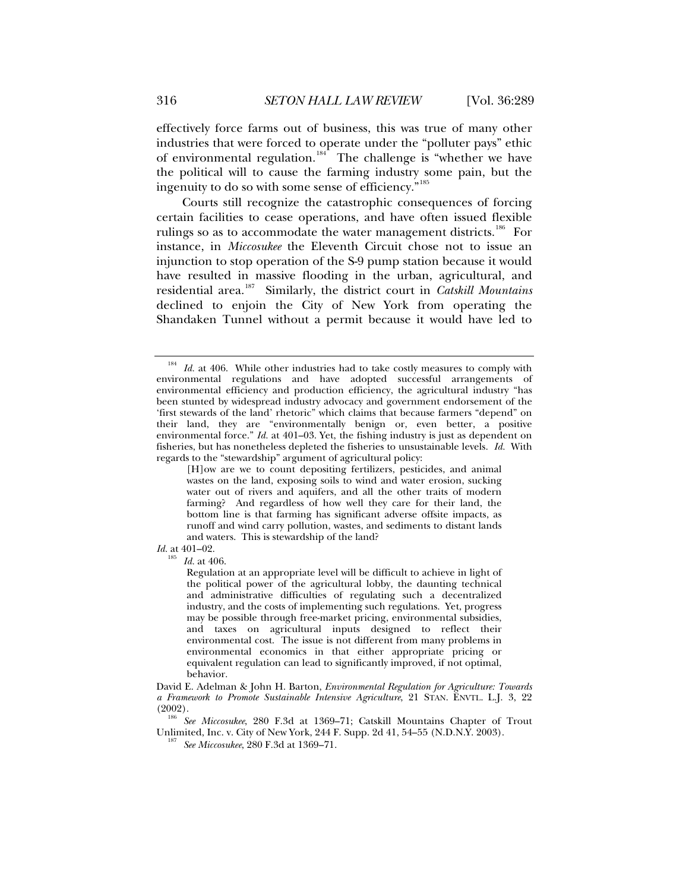effectively force farms out of business, this was true of many other industries that were forced to operate under the "polluter pays" ethic of environmental regulation.<sup>[184](#page-27-0)</sup> The challenge is "whether we have the political will to cause the farming industry some pain, but the ingenuity to do so with some sense of efficiency."<sup>[185](#page-27-1)</sup>

Courts still recognize the catastrophic consequences of forcing certain facilities to cease operations, and have often issued flexible rulings so as to accommodate the water management districts.<sup>[186](#page-27-2)</sup> For instance, in *Miccosukee* the Eleventh Circuit chose not to issue an injunction to stop operation of the S-9 pump station because it would have resulted in massive flooding in the urban, agricultural, and residential area.[187](#page-27-3) Similarly, the district court in *Catskill Mountains*  declined to enjoin the City of New York from operating the Shandaken Tunnel without a permit because it would have led to

<span id="page-27-1"></span>*Id.* at 401–02.

 $\frac{3}{5}$  *Id.* at 406.

Regulation at an appropriate level will be difficult to achieve in light of the political power of the agricultural lobby, the daunting technical and administrative difficulties of regulating such a decentralized industry, and the costs of implementing such regulations. Yet, progress may be possible through free-market pricing, environmental subsidies, and taxes on agricultural inputs designed to reflect their environmental cost. The issue is not different from many problems in environmental economics in that either appropriate pricing or equivalent regulation can lead to significantly improved, if not optimal, behavior.

David E. Adelman & John H. Barton, *Environmental Regulation for Agriculture: Towards a Framework to Promote Sustainable Intensive Agriculture*, 21 STAN. ENVTL. L.J. 3, 22 (2002). 186 *See Miccosukee*, 280 F.3d at 1369–71; Catskill Mountains Chapter of Trout

<span id="page-27-3"></span><span id="page-27-2"></span>Unlimited, Inc. v. City of New York, 244 F. Supp. 2d 41, 54–55 (N.D.N.Y. 2003). 187 *See Miccosukee*, 280 F.3d at 1369–71.

<span id="page-27-0"></span><sup>&</sup>lt;sup>184</sup> *Id.* at 406. While other industries had to take costly measures to comply with environmental regulations and have adopted successful arrangements of environmental efficiency and production efficiency, the agricultural industry "has been stunted by widespread industry advocacy and government endorsement of the 'first stewards of the land' rhetoric" which claims that because farmers "depend" on their land, they are "environmentally benign or, even better, a positive environmental force." *Id.* at 401–03. Yet, the fishing industry is just as dependent on fisheries, but has nonetheless depleted the fisheries to unsustainable levels. *Id.* With regards to the "stewardship" argument of agricultural policy:

<sup>[</sup>H]ow are we to count depositing fertilizers, pesticides, and animal wastes on the land, exposing soils to wind and water erosion, sucking water out of rivers and aquifers, and all the other traits of modern farming? And regardless of how well they care for their land, the bottom line is that farming has significant adverse offsite impacts, as runoff and wind carry pollution, wastes, and sediments to distant lands and waters. This is stewardship of the land?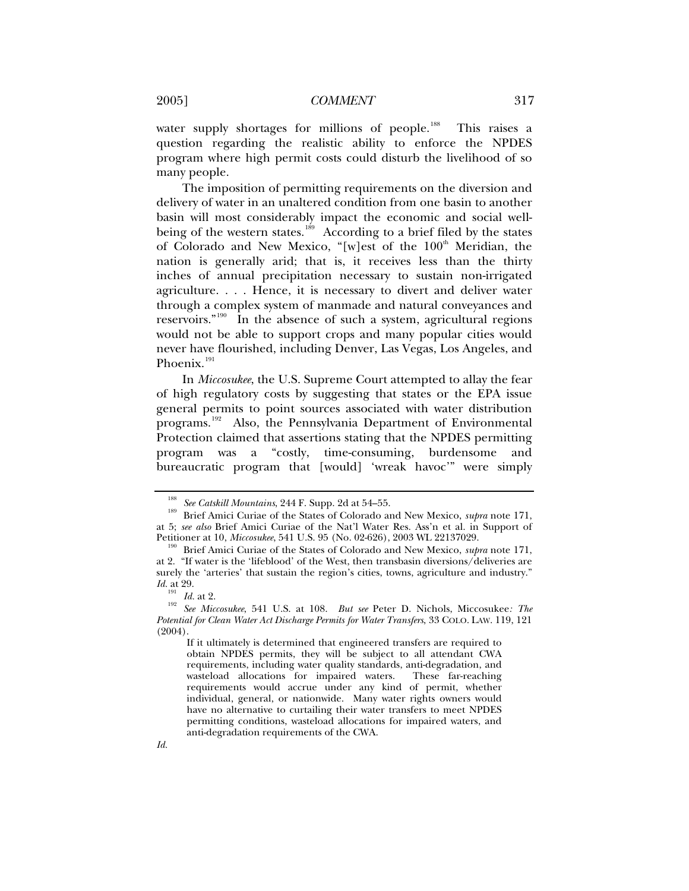water supply shortages for millions of people.<sup>[188](#page-28-0)</sup> This raises a question regarding the realistic ability to enforce the NPDES program where high permit costs could disturb the livelihood of so many people.

The imposition of permitting requirements on the diversion and delivery of water in an unaltered condition from one basin to another basin will most considerably impact the economic and social well-being of the western states.<sup>[189](#page-28-1)</sup> According to a brief filed by the states of Colorado and New Mexico, "[w]est of the  $100<sup>th</sup>$  Meridian, the nation is generally arid; that is, it receives less than the thirty inches of annual precipitation necessary to sustain non-irrigated agriculture. . . . Hence, it is necessary to divert and deliver water through a complex system of manmade and natural conveyances and reservoirs."<sup>[190](#page-28-2)</sup> In the absence of such a system, agricultural regions would not be able to support crops and many popular cities would never have flourished, including Denver, Las Vegas, Los Angeles, and Phoenix.<sup>[191](#page-28-3)</sup>

In *Miccosukee*, the U.S. Supreme Court attempted to allay the fear of high regulatory costs by suggesting that states or the EPA issue general permits to point sources associated with water distribution programs.<sup>[192](#page-28-4)</sup> Also, the Pennsylvania Department of Environmental Protection claimed that assertions stating that the NPDES permitting program was a "costly, time-consuming, burdensome and bureaucratic program that [would] 'wreak havoc'" were simply

<span id="page-28-1"></span><span id="page-28-0"></span><sup>&</sup>lt;sup>188</sup> See Catskill Mountains, 244 F. Supp. 2d at 54–55.<br><sup>189</sup> Brief Amici Curiae of the States of Colorado and New Mexico, *supra* note 171, at 5; *see also* Brief Amici Curiae of the Nat'l Water Res. Ass'n et al. in Support of

<span id="page-28-2"></span><sup>&</sup>lt;sup>190</sup> Brief Amici Curiae of the States of Colorado and New Mexico, *supra* note 171, at 2. "If water is the 'lifeblood' of the West, then transbasin diversions/deliveries are surely the 'arteries' that sustain the region's cities, towns, agriculture and industry." *Id.* at 29.

<span id="page-28-4"></span><span id="page-28-3"></span><sup>191</sup> *Id.* at 2. 192 *See Miccosukee*, 541 U.S. at 108. *But see* Peter D. Nichols, Miccosukee*: The Potential for Clean Water Act Discharge Permits for Water Transfers*, 33 COLO. LAW. 119, 121  $(2004).$ 

If it ultimately is determined that engineered transfers are required to obtain NPDES permits, they will be subject to all attendant CWA requirements, including water quality standards, anti-degradation, and wasteload allocations for impaired waters. These far-reaching requirements would accrue under any kind of permit, whether individual, general, or nationwide. Many water rights owners would have no alternative to curtailing their water transfers to meet NPDES permitting conditions, wasteload allocations for impaired waters, and anti-degradation requirements of the CWA.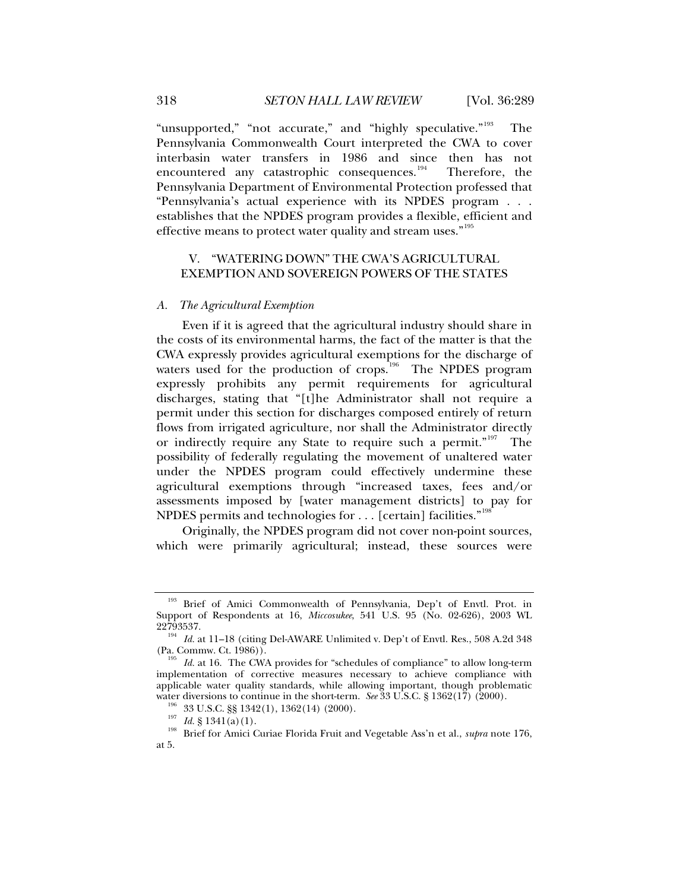<span id="page-29-0"></span>"unsupported," "not accurate," and "highly speculative."<sup>[193](#page-29-1)</sup> The Pennsylvania Commonwealth Court interpreted the CWA to cover interbasin water transfers in 1986 and since then has not encountered any catastrophic consequences.<sup>[194](#page-29-2)</sup> Therefore, the Pennsylvania Department of Environmental Protection professed that "Pennsylvania's actual experience with its NPDES program . . . establishes that the NPDES program provides a flexible, efficient and effective means to protect water quality and stream uses."<sup>[195](#page-29-3)</sup>

# V. "WATERING DOWN" THE CWA'S AGRICULTURAL EXEMPTION AND SOVEREIGN POWERS OF THE STATES

#### *A. The Agricultural Exemption*

Even if it is agreed that the agricultural industry should share in the costs of its environmental harms, the fact of the matter is that the CWA expressly provides agricultural exemptions for the discharge of waters used for the production of crops.<sup>[196](#page-29-4)</sup> The NPDES program expressly prohibits any permit requirements for agricultural discharges, stating that "[t]he Administrator shall not require a permit under this section for discharges composed entirely of return flows from irrigated agriculture, nor shall the Administrator directly or indirectly require any State to require such a permit."<sup>[197](#page-29-5)</sup> The possibility of federally regulating the movement of unaltered water under the NPDES program could effectively undermine these agricultural exemptions through "increased taxes, fees and/or assessments imposed by [water management districts] to pay for NPDES permits and technologies for . . . [certain] facilities."<sup>[198](#page-29-6)</sup>

Originally, the NPDES program did not cover non-point sources, which were primarily agricultural; instead, these sources were

<span id="page-29-1"></span>Brief of Amici Commonwealth of Pennsylvania, Dep't of Envtl. Prot. in Support of Respondents at 16, *Miccosukee*, 541 U.S. 95 (No. 02-626), 2003 WL

<span id="page-29-2"></span><sup>22793537.&</sup>lt;br><sup>194</sup> *Id.* at 11–18 (citing Del-AWARE Unlimited v. Dep't of Envtl. Res., 508 A.2d 348<br>(Pa. Commw. Ct. 1986)).

<span id="page-29-3"></span><sup>&</sup>lt;sup>195</sup> Id. at 16. The CWA provides for "schedules of compliance" to allow long-term implementation of corrective measures necessary to achieve compliance with applicable water quality standards, while allowing important, though problematic water diversions to continue in the short-term. See 33 U.S.C. § 1362(17) (2000).

<span id="page-29-6"></span><span id="page-29-5"></span><span id="page-29-4"></span><sup>&</sup>lt;sup>196</sup> 33 U.S.C. §§ 1342(1), 1362(14) (2000).<br><sup>197</sup> *Id.* § 1341(a)(1).<br><sup>198</sup> Brief for Amici Curiae Florida Fruit and Vegetable Ass'n et al., *supra* note 176, at 5.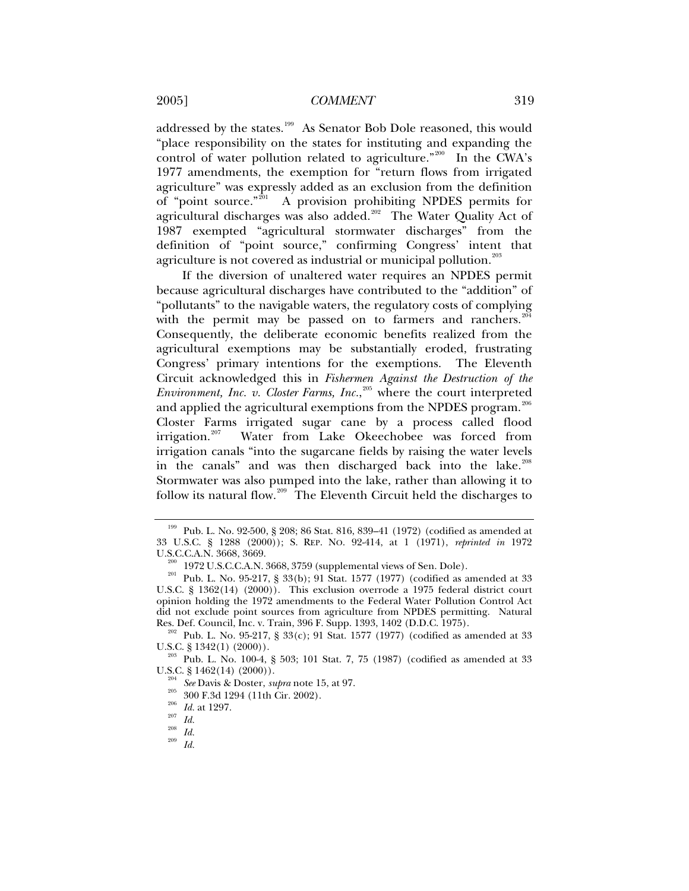addressed by the states.<sup>[199](#page-30-0)</sup> As Senator Bob Dole reasoned, this would "place responsibility on the states for instituting and expanding the control of water pollution related to agriculture."<sup>[200](#page-30-1)</sup> In the CWA's 1977 amendments, the exemption for "return flows from irrigated agriculture" was expressly added as an exclusion from the definition of "point source."<sup>[201](#page-30-2)</sup> A provision prohibiting NPDES permits for agricultural discharges was also added.<sup>[202](#page-30-3)</sup> The Water Quality Act of 1987 exempted "agricultural stormwater discharges" from the definition of "point source," confirming Congress' intent that agriculture is not covered as industrial or municipal pollution.<sup>[203](#page-30-4)</sup>

If the diversion of unaltered water requires an NPDES permit because agricultural discharges have contributed to the "addition" of "pollutants" to the navigable waters, the regulatory costs of complying with the permit may be passed on to farmers and ranchers.<sup>[204](#page-30-5)</sup> Consequently, the deliberate economic benefits realized from the agricultural exemptions may be substantially eroded, frustrating Congress' primary intentions for the exemptions. The Eleventh Circuit acknowledged this in *Fishermen Against the Destruction of the Environment, Inc. v. Closter Farms, Inc.*, [205](#page-30-6) where the court interpreted and applied the agricultural exemptions from the NPDES program. $^{206}$  $^{206}$  $^{206}$ Closter Farms irrigated sugar cane by a process called flood irrigation.<sup>[207](#page-30-8)</sup> Water from Lake Okeechobee was forced from irrigation canals "into the sugarcane fields by raising the water levels in the canals" and was then discharged back into the lake.<sup>[208](#page-30-9)</sup> Stormwater was also pumped into the lake, rather than allowing it to follow its natural flow.<sup>[209](#page-30-10)</sup> The Eleventh Circuit held the discharges to

<span id="page-30-0"></span><sup>&</sup>lt;sup>199</sup> Pub. L. No. 92-500, § 208; 86 Stat. 816, 839–41 (1972) (codified as amended at 33 U.S.C. § 1288 (2000)); S. REP. NO. 92-414, at 1 (1971), *reprinted in* 1972

<span id="page-30-2"></span><span id="page-30-1"></span> $\frac{200}{201}$  1972 U.S.C.C.A.N. 3668, 3759 (supplemental views of Sen. Dole).<br><sup>201</sup> Pub. L. No. 95-217, § 33(b); 91 Stat. 1577 (1977) (codified as amended at 33 U.S.C. § 1362(14) (2000)). This exclusion overrode a 1975 federal district court opinion holding the 1972 amendments to the Federal Water Pollution Control Act did not exclude point sources from agriculture from NPDES permitting. Natural Res. Def. Council, Inc. v. Train, 396 F. Supp. 1393, 1402 (D.D.C. 1975).

<span id="page-30-3"></span><sup>&</sup>lt;sup>202</sup> Pub. L. No. 95-217, § 33(c); 91 Stat. 1577 (1977) (codified as amended at 33 U.S.C. § 1342(1) (2000)).<br><sup>203</sup> Pub. L. No. 100-4, § 503; 101 Stat. 7, 75 (1987) (codified as amended at 33

<span id="page-30-8"></span><span id="page-30-7"></span><span id="page-30-6"></span><span id="page-30-5"></span><span id="page-30-4"></span>U.S.C. § 1462(14) (2000)).<br><sup>204</sup> *See* Davis & Doster, *supra* note 15, at 97.<br><sup>205</sup> 300 F.3d 1294 (11th Cir. 2002).<br><sup>206</sup> *Id.* at 1297.<br><sup>208</sup> *Id.* <sup>208</sup> *Id.* 

<span id="page-30-9"></span>

<span id="page-30-10"></span>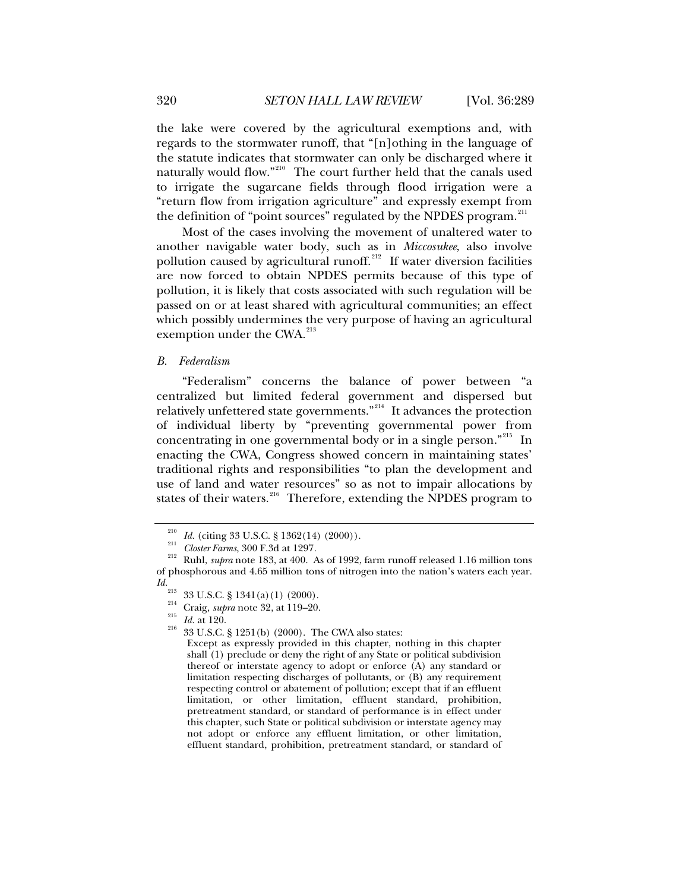<span id="page-31-0"></span>the lake were covered by the agricultural exemptions and, with regards to the stormwater runoff, that "[n]othing in the language of the statute indicates that stormwater can only be discharged where it naturally would flow."<sup>[210](#page-31-1)</sup> The court further held that the canals used to irrigate the sugarcane fields through flood irrigation were a "return flow from irrigation agriculture" and expressly exempt from the definition of "point sources" regulated by the NPDES program.<sup>[211](#page-31-2)</sup>

Most of the cases involving the movement of unaltered water to another navigable water body, such as in *Miccosukee*, also involve pollution caused by agricultural runoff.<sup>[212](#page-31-3)</sup> If water diversion facilities are now forced to obtain NPDES permits because of this type of pollution, it is likely that costs associated with such regulation will be passed on or at least shared with agricultural communities; an effect which possibly undermines the very purpose of having an agricultural exemption under the CWA.<sup>[213](#page-31-4)</sup>

#### *B. Federalism*

"Federalism" concerns the balance of power between "a centralized but limited federal government and dispersed but relatively unfettered state governments."[214](#page-31-5) It advances the protection of individual liberty by "preventing governmental power from concentrating in one governmental body or in a single person."[215](#page-31-6) In enacting the CWA, Congress showed concern in maintaining states' traditional rights and responsibilities "to plan the development and use of land and water resources" so as not to impair allocations by states of their waters.<sup>[216](#page-31-7)</sup> Therefore, extending the NPDES program to

<span id="page-31-7"></span><span id="page-31-6"></span><span id="page-31-5"></span><span id="page-31-4"></span><span id="page-31-3"></span>*Id.* <sup>213</sup> 33 U.S.C. § 1341(a)(1) (2000).<br><sup>214</sup> Craig, *supra* note 32, at 119–20.<br><sup>215</sup> *Id.* at 120. <sup>216</sup> 33 U.S.C. § 1251(b) (2000). The CWA also states:

Except as expressly provided in this chapter, nothing in this chapter shall (1) preclude or deny the right of any State or political subdivision thereof or interstate agency to adopt or enforce (A) any standard or limitation respecting discharges of pollutants, or (B) any requirement respecting control or abatement of pollution; except that if an effluent limitation, or other limitation, effluent standard, prohibition, pretreatment standard, or standard of performance is in effect under this chapter, such State or political subdivision or interstate agency may not adopt or enforce any effluent limitation, or other limitation, effluent standard, prohibition, pretreatment standard, or standard of

<span id="page-31-2"></span><span id="page-31-1"></span><sup>210</sup> *Id.* (citing 33 U.S.C. § 1362(14) (2000)). 211 *Closter Farms*, 300 F.3d at 1297*.* 212 Ruhl, *supra* note 183, at 400. As of 1992, farm runoff released 1.16 million tons of phosphorous and 4.65 million tons of nitrogen into the nation's waters each year.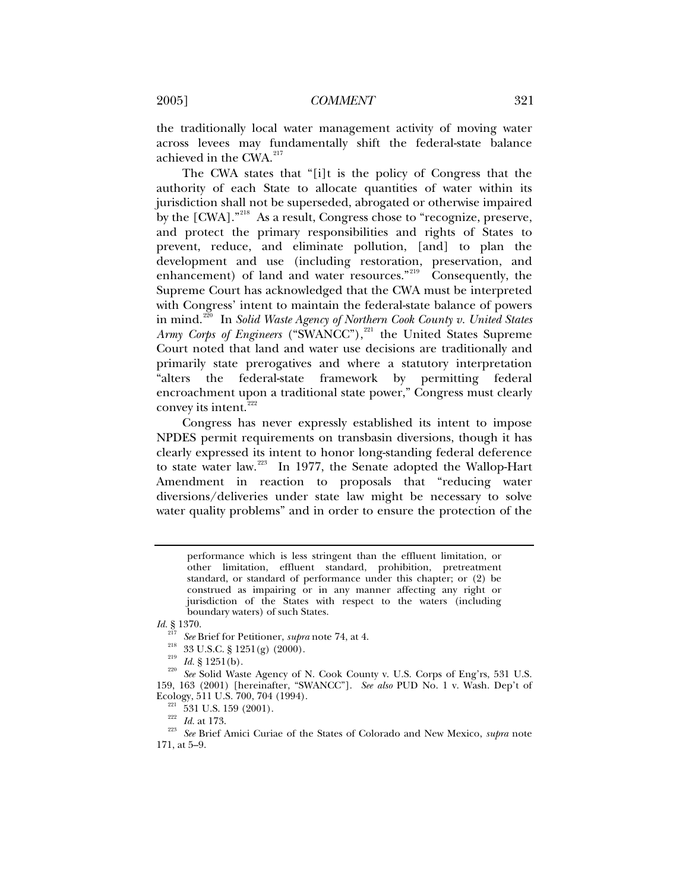the traditionally local water management activity of moving water across levees may fundamentally shift the federal-state balance achieved in the CWA.<sup>[217](#page-32-0)</sup>

The CWA states that "[i]t is the policy of Congress that the authority of each State to allocate quantities of water within its jurisdiction shall not be superseded, abrogated or otherwise impaired by the [CWA]."<sup>[218](#page-32-1)</sup> As a result, Congress chose to "recognize, preserve, and protect the primary responsibilities and rights of States to prevent, reduce, and eliminate pollution, [and] to plan the development and use (including restoration, preservation, and enhancement) of land and water resources."<sup>[219](#page-32-2)</sup> Consequently, the Supreme Court has acknowledged that the CWA must be interpreted with Congress' intent to maintain the federal-state balance of powers in mind.<sup>[220](#page-32-3)</sup> In *Solid Waste Agency of Northern Cook County v. United States Army Corps of Engineers* ("SWANCC"),<sup>[221](#page-32-4)</sup> the United States Supreme Court noted that land and water use decisions are traditionally and primarily state prerogatives and where a statutory interpretation "alters the federal-state framework by permitting federal encroachment upon a traditional state power," Congress must clearly convey its intent.<sup>[222](#page-32-5)</sup>

Congress has never expressly established its intent to impose NPDES permit requirements on transbasin diversions, though it has clearly expressed its intent to honor long-standing federal deference to state water law.[223](#page-32-6) In 1977, the Senate adopted the Wallop-Hart Amendment in reaction to proposals that "reducing water diversions/deliveries under state law might be necessary to solve water quality problems" and in order to ensure the protection of the

performance which is less stringent than the effluent limitation, or other limitation, effluent standard, prohibition, pretreatment standard, or standard of performance under this chapter; or (2) be construed as impairing or in any manner affecting any right or jurisdiction of the States with respect to the waters (including boundary waters) of such States.

*Id.* § 1370.

<span id="page-32-6"></span><span id="page-32-5"></span><span id="page-32-4"></span><span id="page-32-3"></span>Ecology, 511 U.S. 700, 704 (1994).<br><sup>221</sup> 531 U.S. 159 (2001).<br><sup>223</sup> *Id.* at 173.<br><sup>223</sup> See Brief Amici Curiae of the States of Colorado and New Mexico, *supra* note 171, at 5–9.

<span id="page-32-2"></span><span id="page-32-1"></span><span id="page-32-0"></span><sup>&</sup>lt;sup>217</sup> See Brief for Petitioner, *supra* note 74, at 4.<br><sup>218</sup> 33 U.S.C. § 1251(g) (2000).<br><sup>219</sup> *Id.* § 1251(b). See Solid Waste Agency of N. Cook County v. U.S. Corps of Eng'rs, 531 U.S. 159, 163 (2001) [hereinafter, "SWANCC"]. *See also* PUD No. 1 v. Wash. Dep't of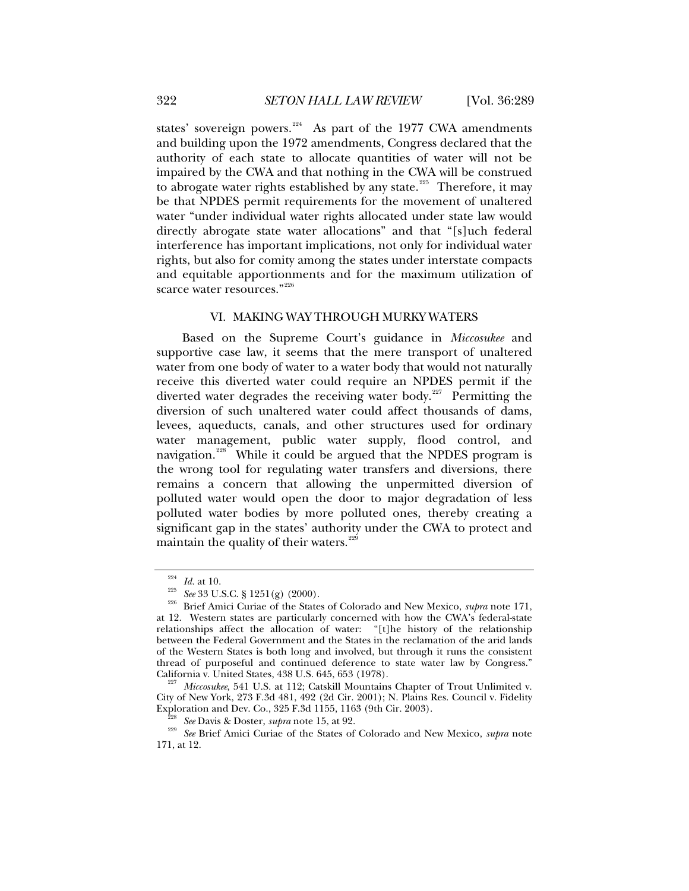<span id="page-33-0"></span>states' sovereign powers.<sup>[224](#page-33-1)</sup> As part of the 1977 CWA amendments and building upon the 1972 amendments, Congress declared that the authority of each state to allocate quantities of water will not be impaired by the CWA and that nothing in the CWA will be construed to abrogate water rights established by any state.<sup>[225](#page-33-2)</sup> Therefore, it may be that NPDES permit requirements for the movement of unaltered water "under individual water rights allocated under state law would directly abrogate state water allocations" and that "[s]uch federal interference has important implications, not only for individual water rights, but also for comity among the states under interstate compacts and equitable apportionments and for the maximum utilization of scarce water resources."<sup>[226](#page-33-3)</sup>

#### VI. MAKING WAY THROUGH MURKY WATERS

Based on the Supreme Court's guidance in *Miccosukee* and supportive case law, it seems that the mere transport of unaltered water from one body of water to a water body that would not naturally receive this diverted water could require an NPDES permit if the diverted water degrades the receiving water body.<sup>[227](#page-33-4)</sup> Permitting the diversion of such unaltered water could affect thousands of dams, levees, aqueducts, canals, and other structures used for ordinary water management, public water supply, flood control, and navigation.<sup>[228](#page-33-5)</sup> While it could be argued that the NPDES program is the wrong tool for regulating water transfers and diversions, there remains a concern that allowing the unpermitted diversion of polluted water would open the door to major degradation of less polluted water bodies by more polluted ones, thereby creating a significant gap in the states' authority under the CWA to protect and maintain the quality of their waters. $229$ 

<span id="page-33-3"></span><span id="page-33-2"></span><span id="page-33-1"></span><sup>224</sup> *Id.* at 10. 225 *See* 33 U.S.C. § 1251(g) (2000). 226 Brief Amici Curiae of the States of Colorado and New Mexico, *supra* note 171, at 12. Western states are particularly concerned with how the CWA's federal-state relationships affect the allocation of water: "[t]he history of the relationship between the Federal Government and the States in the reclamation of the arid lands of the Western States is both long and involved, but through it runs the consistent thread of purposeful and continued deference to state water law by Congress."

<span id="page-33-4"></span>Miccosukee, 541 U.S. at 112; Catskill Mountains Chapter of Trout Unlimited v. City of New York, 273 F.3d 481, 492 (2d Cir. 2001); N. Plains Res. Council v. Fidelity

<span id="page-33-6"></span><span id="page-33-5"></span>Exploration and Dev. Co., 325 F.3d 1155, 1163 (9th Cir. 2003). 228 *See* Davis & Doster, *supra* note 15, at 92. 229 *See* Brief Amici Curiae of the States of Colorado and New Mexico, *supra* note 171, at 12.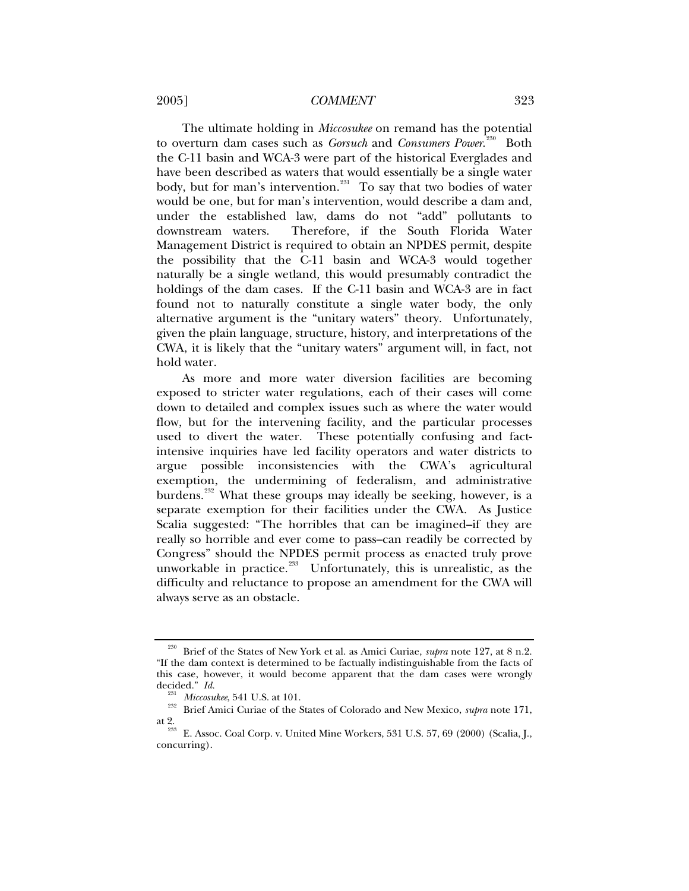2005] *COMMENT* 323

The ultimate holding in *Miccosukee* on remand has the potential to overturn dam cases such as *Gorsuch* and *Consumers Power*. [230](#page-34-0) Both the C-11 basin and WCA-3 were part of the historical Everglades and have been described as waters that would essentially be a single water body, but for man's intervention.<sup>[231](#page-34-1)</sup> To say that two bodies of water would be one, but for man's intervention, would describe a dam and, under the established law, dams do not "add" pollutants to downstream waters. Therefore, if the South Florida Water Management District is required to obtain an NPDES permit, despite the possibility that the C-11 basin and WCA-3 would together naturally be a single wetland, this would presumably contradict the holdings of the dam cases. If the C-11 basin and WCA-3 are in fact found not to naturally constitute a single water body, the only alternative argument is the "unitary waters" theory. Unfortunately, given the plain language, structure, history, and interpretations of the CWA, it is likely that the "unitary waters" argument will, in fact, not hold water.

As more and more water diversion facilities are becoming exposed to stricter water regulations, each of their cases will come down to detailed and complex issues such as where the water would flow, but for the intervening facility, and the particular processes used to divert the water. These potentially confusing and factintensive inquiries have led facility operators and water districts to argue possible inconsistencies with the CWA's agricultural exemption, the undermining of federalism, and administrative burdens.<sup>[232](#page-34-2)</sup> What these groups may ideally be seeking, however, is a separate exemption for their facilities under the CWA. As Justice Scalia suggested: "The horribles that can be imagined–if they are really so horrible and ever come to pass–can readily be corrected by Congress" should the NPDES permit process as enacted truly prove unworkable in practice. $233$  Unfortunately, this is unrealistic, as the difficulty and reluctance to propose an amendment for the CWA will always serve as an obstacle.

<span id="page-34-0"></span><sup>230</sup> Brief of the States of New York et al. as Amici Curiae, *supra* note 127, at 8 n.2. "If the dam context is determined to be factually indistinguishable from the facts of this case, however, it would become apparent that the dam cases were wrongly decided." Id.

<span id="page-34-2"></span><span id="page-34-1"></span><sup>&</sup>lt;sup>231</sup> *Miccosukee*, 541 U.S. at 101. 232 Brief Amici Curiae of the States of Colorado and New Mexico, *supra* note 171, at 2. 233 E. Assoc. Coal Corp. v. United Mine Workers, 531 U.S. 57, 69 (2000) (Scalia, J.,

<span id="page-34-3"></span>concurring).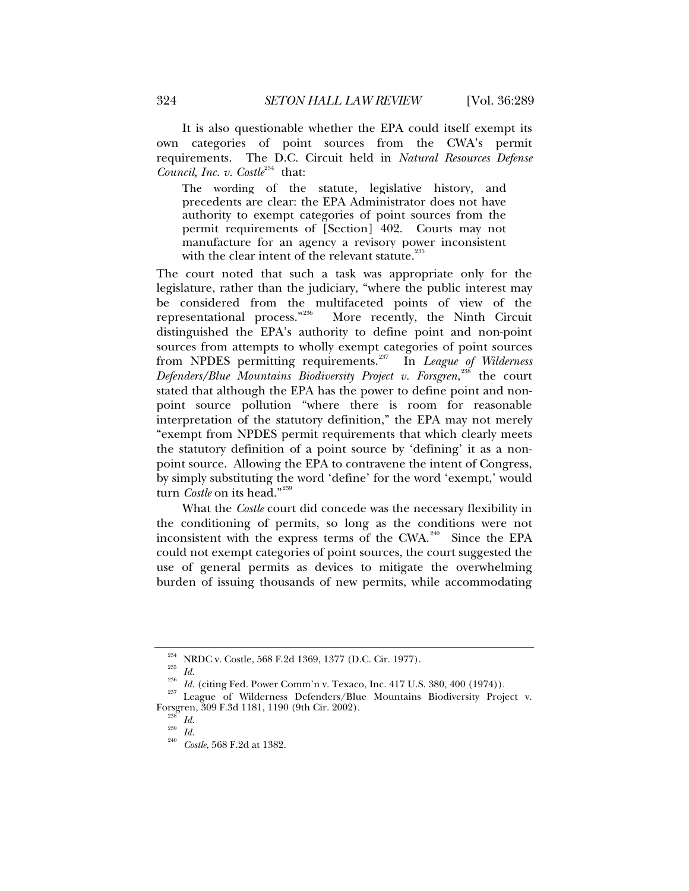It is also questionable whether the EPA could itself exempt its own categories of point sources from the CWA's permit requirements. The D.C. Circuit held in *Natural Resources Defense Council, Inc. v. Costle*<sup>[234](#page-35-0)</sup> that:

The wording of the statute, legislative history, and precedents are clear: the EPA Administrator does not have authority to exempt categories of point sources from the permit requirements of [Section] 402. Courts may not manufacture for an agency a revisory power inconsistent with the clear intent of the relevant statute. $\mathbb{Z}^2$ 

The court noted that such a task was appropriate only for the legislature, rather than the judiciary, "where the public interest may be considered from the multifaceted points of view of the representational process."[236](#page-35-2) More recently, the Ninth Circuit distinguished the EPA's authority to define point and non-point sources from attempts to wholly exempt categories of point sources from NPDES permitting requirements.<sup>[237](#page-35-3)</sup> In *League of Wilderness Defenders/Blue Mountains Biodiversity Project v. Forsgren*, [238](#page-35-4) the court stated that although the EPA has the power to define point and nonpoint source pollution "where there is room for reasonable interpretation of the statutory definition," the EPA may not merely "exempt from NPDES permit requirements that which clearly meets the statutory definition of a point source by 'defining' it as a nonpoint source. Allowing the EPA to contravene the intent of Congress, by simply substituting the word 'define' for the word 'exempt,' would turn *Costle* on its head."<sup>[239](#page-35-5)</sup>

What the *Costle* court did concede was the necessary flexibility in the conditioning of permits, so long as the conditions were not inconsistent with the express terms of the CWA.<sup>[240](#page-35-6)</sup> Since the EPA could not exempt categories of point sources, the court suggested the use of general permits as devices to mitigate the overwhelming burden of issuing thousands of new permits, while accommodating

<span id="page-35-4"></span><span id="page-35-3"></span><span id="page-35-2"></span><span id="page-35-1"></span><span id="page-35-0"></span><sup>&</sup>lt;sup>234</sup> NRDC v. Costle, 568 F.2d 1369, 1377 (D.C. Cir. 1977).<br>
<sup>235</sup> *Id.* (citing Fed. Power Comm'n v. Texaco, Inc. 417 U.S. 380, 400 (1974)).<br>
<sup>236</sup> League of Wilderness Defenders/Blue Mountains Biodiversity Project v. Forsgren, 309 F.3d 1181, 1190 (9th Cir. 2002). 238 *Id.* <sup>239</sup> *Id.* <sup>240</sup> *Costle*, 568 F.2d at 1382.

<span id="page-35-6"></span><span id="page-35-5"></span>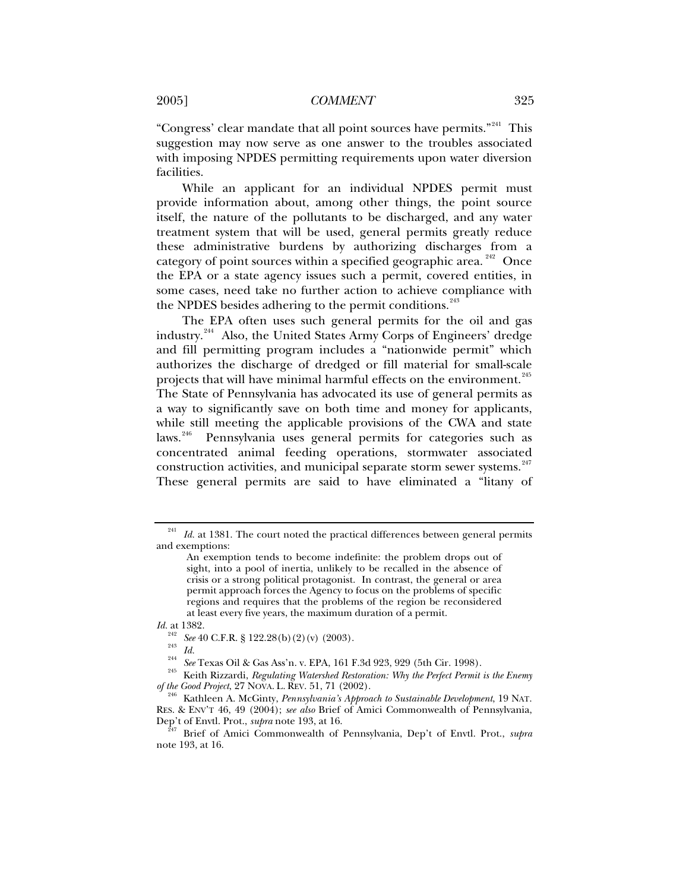"Congress' clear mandate that all point sources have permits."[241](#page-36-0) This suggestion may now serve as one answer to the troubles associated with imposing NPDES permitting requirements upon water diversion facilities.

While an applicant for an individual NPDES permit must provide information about, among other things, the point source itself, the nature of the pollutants to be discharged, and any water treatment system that will be used, general permits greatly reduce these administrative burdens by authorizing discharges from a category of point sources within a specified geographic area.<sup>[242](#page-36-1)</sup> Once the EPA or a state agency issues such a permit, covered entities, in some cases, need take no further action to achieve compliance with the NPDES besides adhering to the permit conditions.<sup>[243](#page-36-2)</sup>

The EPA often uses such general permits for the oil and gas industry.[244](#page-36-3) Also, the United States Army Corps of Engineers' dredge and fill permitting program includes a "nationwide permit" which authorizes the discharge of dredged or fill material for small-scale projects that will have minimal harmful effects on the environment.<sup>[245](#page-36-4)</sup> The State of Pennsylvania has advocated its use of general permits as a way to significantly save on both time and money for applicants, while still meeting the applicable provisions of the CWA and state laws.<sup>[246](#page-36-5)</sup> Pennsylvania uses general permits for categories such as concentrated animal feeding operations, stormwater associated construction activities, and municipal separate storm sewer systems.<sup>[247](#page-36-6)</sup> These general permits are said to have eliminated a "litany of

<span id="page-36-0"></span><sup>&</sup>lt;sup>241</sup> Id. at 1381. The court noted the practical differences between general permits and exemptions:

An exemption tends to become indefinite: the problem drops out of sight, into a pool of inertia, unlikely to be recalled in the absence of crisis or a strong political protagonist. In contrast, the general or area permit approach forces the Agency to focus on the problems of specific regions and requires that the problems of the region be reconsidered at least every five years, the maximum duration of a permit.

*Id.* at 1382.

<span id="page-36-3"></span><span id="page-36-2"></span><span id="page-36-1"></span><sup>&</sup>lt;sup>242</sup> See 40 C.F.R. § 122.28(b) (2) (v) (2003).<br><sup>243</sup> Id.<br><sup>244</sup> See Texas Oil & Gas Ass'n. v. EPA, 161 F.3d 923, 929 (5th Cir. 1998).<br><sup>245</sup> Keith Rizzardi, *Regulating Watershed Restoration: Why the Perfect Permit is the* 

<span id="page-36-5"></span><span id="page-36-4"></span>Kathleen A. McGinty, *Pennsylvania's Approach to Sustainable Development*, 19 NAT. RES. & ENV'T 46, 49 (2004); *see also* Brief of Amici Commonwealth of Pennsylvania, Dep't of Envtl. Prot., *supra* note 193, at 16. 247 Brief of Amici Commonwealth of Pennsylvania, Dep't of Envtl. Prot., *supra* 

<span id="page-36-6"></span>note 193, at 16.